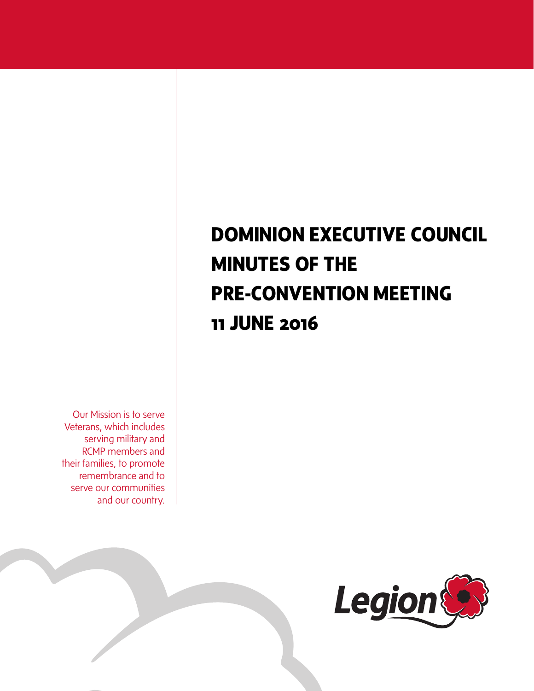# **DOMINION EXECUTIVE COUNCIL MINUTES OF THE PRE-CONVENTION MEETING 11 JUNE 2016**

Our Mission is to serve Veterans, which includes serving military and RCMP members and their families, to promote remembrance and to serve our communities and our country.

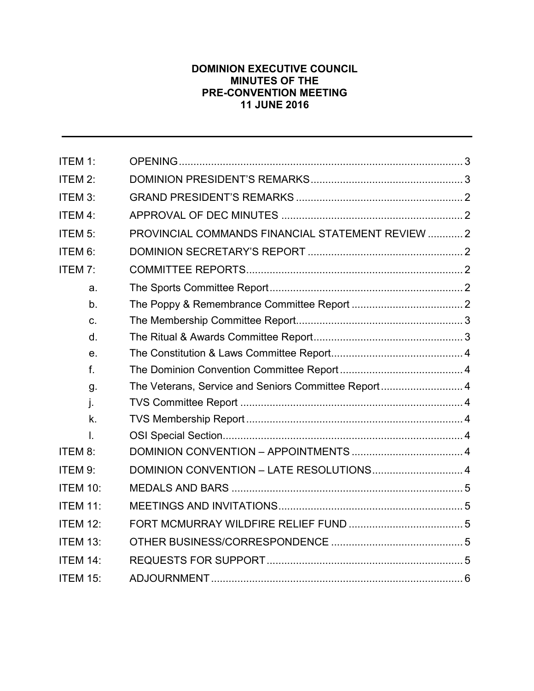# **DOMINION EXECUTIVE COUNCIL MINUTES OF THE PRE-CONVENTION MEETING 11 JUNE 2016**

| ITEM 1:             |                                                      |  |
|---------------------|------------------------------------------------------|--|
| ITEM 2:             |                                                      |  |
| ITEM 3:             |                                                      |  |
| ITEM 4:             |                                                      |  |
| ITEM <sub>5</sub> : | PROVINCIAL COMMANDS FINANCIAL STATEMENT REVIEW  2    |  |
| ITEM 6:             |                                                      |  |
| ITEM 7:             |                                                      |  |
| a.                  |                                                      |  |
| b.                  |                                                      |  |
| C.                  |                                                      |  |
| d.                  |                                                      |  |
| e.                  |                                                      |  |
| f.                  |                                                      |  |
| g.                  | The Veterans, Service and Seniors Committee Report 4 |  |
| j.                  |                                                      |  |
| k.                  |                                                      |  |
| I.                  |                                                      |  |
| ITEM 8:             |                                                      |  |
| ITEM 9:             |                                                      |  |
| <b>ITEM 10:</b>     |                                                      |  |
| <b>ITEM 11:</b>     |                                                      |  |
| <b>ITEM 12:</b>     |                                                      |  |
| <b>ITEM 13:</b>     |                                                      |  |
| <b>ITEM 14:</b>     |                                                      |  |
| <b>ITEM 15:</b>     |                                                      |  |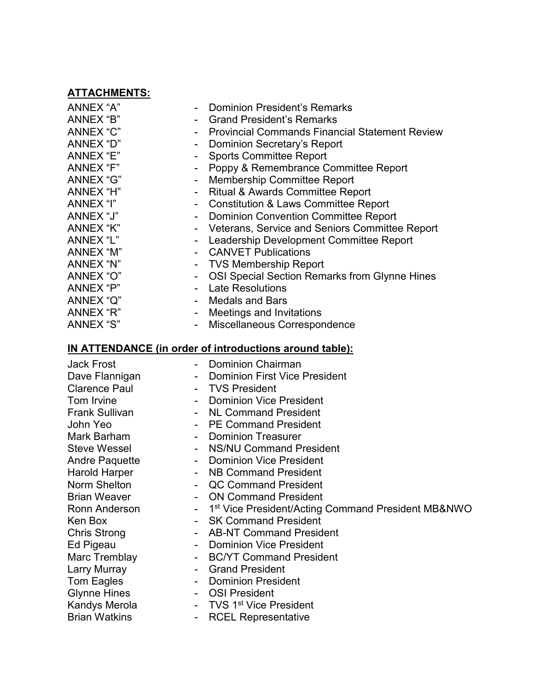# **ATTACHMENTS:**

| ANNEX "A"<br>ANNEX "B"<br>ANNEX "C"<br>ANNEX "D"<br>ANNEX "E"<br>ANNEX "F"<br>ANNEX "G"<br>ANNEX "H"<br>ANNEX "I"<br>ANNEX "J"<br>ANNEX "K"<br>ANNEX "L"<br>ANNEX "M"<br>ANNEX "N"<br>ANNEX "O"<br>ANNEX "P"<br>ANNEX "Q" | <b>Dominion President's Remarks</b><br><b>Grand President's Remarks</b><br><b>Provincial Commands Financial Statement Review</b><br>Dominion Secretary's Report<br><b>Sports Committee Report</b><br>Poppy & Remembrance Committee Report<br><b>Membership Committee Report</b><br><b>Ritual &amp; Awards Committee Report</b><br><b>Constitution &amp; Laws Committee Report</b><br><b>Dominion Convention Committee Report</b><br>Veterans, Service and Seniors Committee Report<br>Leadership Development Committee Report<br><b>CANVET Publications</b><br><b>TVS Membership Report</b><br>OSI Special Section Remarks from Glynne Hines<br><b>Late Resolutions</b><br><b>Medals and Bars</b> |
|---------------------------------------------------------------------------------------------------------------------------------------------------------------------------------------------------------------------------|---------------------------------------------------------------------------------------------------------------------------------------------------------------------------------------------------------------------------------------------------------------------------------------------------------------------------------------------------------------------------------------------------------------------------------------------------------------------------------------------------------------------------------------------------------------------------------------------------------------------------------------------------------------------------------------------------|
|                                                                                                                                                                                                                           |                                                                                                                                                                                                                                                                                                                                                                                                                                                                                                                                                                                                                                                                                                   |
| ANNEX "R"<br>ANNEX "S"                                                                                                                                                                                                    | Meetings and Invitations<br>Miscellaneous Correspondence                                                                                                                                                                                                                                                                                                                                                                                                                                                                                                                                                                                                                                          |
|                                                                                                                                                                                                                           |                                                                                                                                                                                                                                                                                                                                                                                                                                                                                                                                                                                                                                                                                                   |

# **IN ATTENDANCE (in order of introductions around table):**

| <b>Jack Frost</b>     | <b>Dominion Chairman</b>                                         |
|-----------------------|------------------------------------------------------------------|
| Dave Flannigan        | <b>Dominion First Vice President</b>                             |
| <b>Clarence Paul</b>  | <b>TVS President</b>                                             |
| Tom Irvine            | <b>Dominion Vice President</b>                                   |
| <b>Frank Sullivan</b> | <b>NL Command President</b>                                      |
| John Yeo              | <b>PE Command President</b>                                      |
| Mark Barham           | <b>Dominion Treasurer</b>                                        |
| <b>Steve Wessel</b>   | - NS/NU Command President                                        |
| <b>Andre Paquette</b> | <b>Dominion Vice President</b>                                   |
| Harold Harper         | NB Command President                                             |
| Norm Shelton          | <b>QC Command President</b>                                      |
| <b>Brian Weaver</b>   | <b>ON Command President</b>                                      |
| Ronn Anderson         | - 1 <sup>st</sup> Vice President/Acting Command President MB&NWO |
| Ken Box               | - SK Command President                                           |
| Chris Strong          | <b>AB-NT Command President</b>                                   |
| Ed Pigeau             | Dominion Vice President                                          |
| Marc Tremblay         | <b>BC/YT Command President</b>                                   |
| Larry Murray          | <b>Grand President</b>                                           |
| Tom Eagles            | <b>Dominion President</b>                                        |
| <b>Glynne Hines</b>   | <b>OSI President</b>                                             |
| Kandys Merola         | - TVS 1 <sup>st</sup> Vice President                             |
| <b>Brian Watkins</b>  | <b>RCEL Representative</b>                                       |
|                       |                                                                  |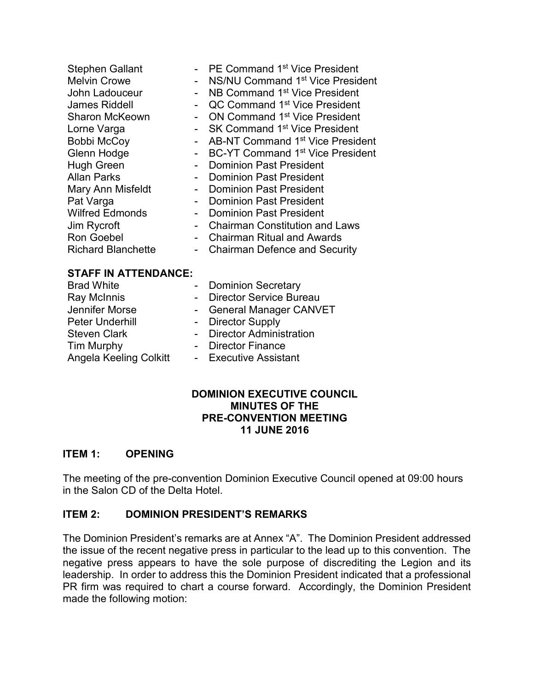| <b>Stephen Gallant</b><br><b>Melvin Crowe</b><br>John Ladouceur<br>James Riddell<br><b>Sharon McKeown</b><br>Lorne Varga<br><b>Bobbi McCoy</b><br>Glenn Hodge<br>Hugh Green<br>Allan Parks<br>Mary Ann Misfeldt<br>Pat Varga<br><b>Wilfred Edmonds</b><br>Jim Rycroft<br>Ron Goebel | $\overline{\phantom{0}}$ | - PE Command 1 <sup>st</sup> Vice President<br>NS/NU Command 1 <sup>st</sup> Vice President<br>NB Command 1 <sup>st</sup> Vice President<br>QC Command 1 <sup>st</sup> Vice President<br>ON Command 1 <sup>st</sup> Vice President<br>SK Command 1 <sup>st</sup> Vice President<br>AB-NT Command 1 <sup>st</sup> Vice President<br>BC-YT Command 1 <sup>st</sup> Vice President<br><b>Dominion Past President</b><br><b>Dominion Past President</b><br><b>Dominion Past President</b><br><b>Dominion Past President</b><br><b>Dominion Past President</b><br><b>Chairman Constitution and Laws</b><br><b>Chairman Ritual and Awards</b> |
|-------------------------------------------------------------------------------------------------------------------------------------------------------------------------------------------------------------------------------------------------------------------------------------|--------------------------|-----------------------------------------------------------------------------------------------------------------------------------------------------------------------------------------------------------------------------------------------------------------------------------------------------------------------------------------------------------------------------------------------------------------------------------------------------------------------------------------------------------------------------------------------------------------------------------------------------------------------------------------|
| <b>Richard Blanchette</b>                                                                                                                                                                                                                                                           | $\overline{\phantom{0}}$ | <b>Chairman Defence and Security</b>                                                                                                                                                                                                                                                                                                                                                                                                                                                                                                                                                                                                    |
| <b>STAFF IN ATTENDANCE:</b>                                                                                                                                                                                                                                                         |                          |                                                                                                                                                                                                                                                                                                                                                                                                                                                                                                                                                                                                                                         |
| <b>Dead Millita</b>                                                                                                                                                                                                                                                                 |                          | Daminian Canatani                                                                                                                                                                                                                                                                                                                                                                                                                                                                                                                                                                                                                       |

| <b>Brad White</b>             | - Dominion Secretary      |
|-------------------------------|---------------------------|
| Ray McInnis                   | - Director Service Bureau |
| Jennifer Morse                | - General Manager CANVET  |
| <b>Peter Underhill</b>        | - Director Supply         |
| <b>Steven Clark</b>           | - Director Administration |
| <b>Tim Murphy</b>             | - Director Finance        |
| <b>Angela Keeling Colkitt</b> | - Executive Assistant     |

#### **DOMINION EXECUTIVE COUNCIL MINUTES OF THE PRE-CONVENTION MEETING 11 JUNE 2016**

# <span id="page-3-0"></span>**ITEM 1: OPENING**

The meeting of the pre-convention Dominion Executive Council opened at 09:00 hours in the Salon CD of the Delta Hotel.

# <span id="page-3-1"></span>**ITEM 2: DOMINION PRESIDENT'S REMARKS**

The Dominion President's remarks are at Annex "A". The Dominion President addressed the issue of the recent negative press in particular to the lead up to this convention. The negative press appears to have the sole purpose of discrediting the Legion and its leadership. In order to address this the Dominion President indicated that a professional PR firm was required to chart a course forward. Accordingly, the Dominion President made the following motion: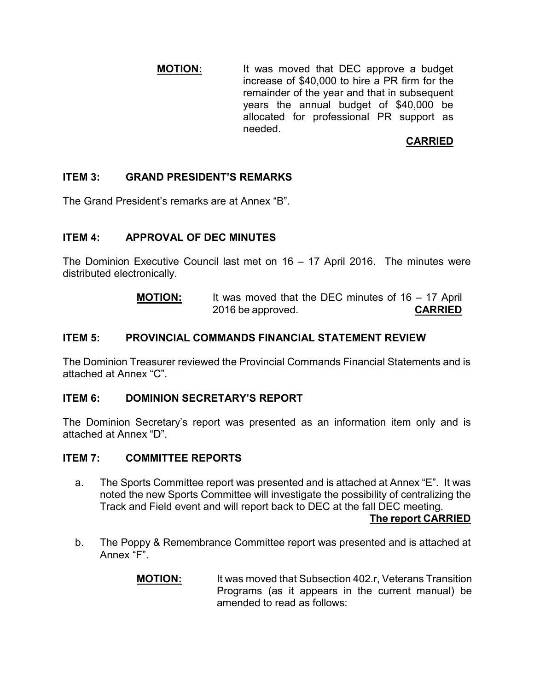**MOTION:** It was moved that DEC approve a budget increase of \$40,000 to hire a PR firm for the remainder of the year and that in subsequent years the annual budget of \$40,000 be allocated for professional PR support as needed.

# **CARRIED**

# <span id="page-4-0"></span>**ITEM 3: GRAND PRESIDENT'S REMARKS**

The Grand President's remarks are at Annex "B".

# <span id="page-4-1"></span>**ITEM 4: APPROVAL OF DEC MINUTES**

The Dominion Executive Council last met on 16 – 17 April 2016. The minutes were distributed electronically.

| <b>MOTION:</b> | It was moved that the DEC minutes of $16 - 17$ April |                |
|----------------|------------------------------------------------------|----------------|
|                | 2016 be approved.                                    | <b>CARRIED</b> |

#### <span id="page-4-2"></span>**ITEM 5: PROVINCIAL COMMANDS FINANCIAL STATEMENT REVIEW**

The Dominion Treasurer reviewed the Provincial Commands Financial Statements and is attached at Annex "C".

#### <span id="page-4-3"></span>**ITEM 6: DOMINION SECRETARY'S REPORT**

The Dominion Secretary's report was presented as an information item only and is attached at Annex "D".

#### <span id="page-4-4"></span>**ITEM 7: COMMITTEE REPORTS**

<span id="page-4-5"></span>a. The Sports Committee report was presented and is attached at Annex "E". It was noted the new Sports Committee will investigate the possibility of centralizing the Track and Field event and will report back to DEC at the fall DEC meeting.

**The report CARRIED** 

- <span id="page-4-6"></span>b. The Poppy & Remembrance Committee report was presented and is attached at Annex "F".
	- **MOTION:** It was moved that Subsection 402.r, Veterans Transition Programs (as it appears in the current manual) be amended to read as follows: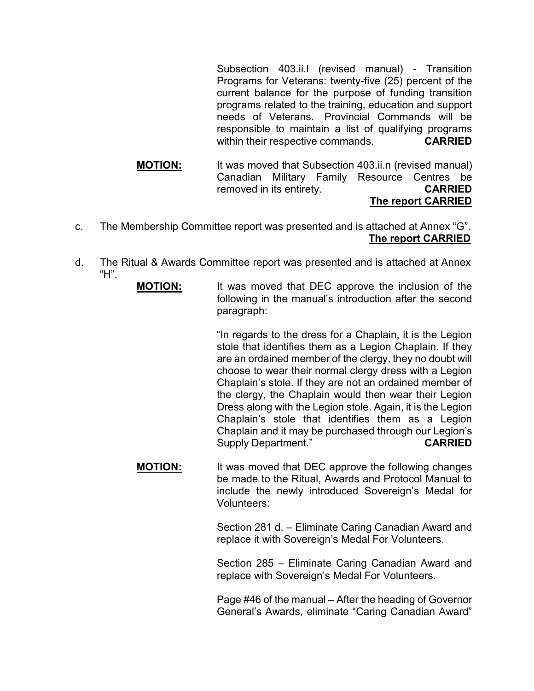Subsection 403.ii.l (revised manual) - Transition Programs for Veterans: twenty-five (25) percent of the current balance for the purpose of funding transition programs related to the training, education and support needs of Veterans. Provincial Commands will be responsible to maintain a list of qualifying programs within their respective commands. **CARRIED**

#### **MOTION:** It was moved that Subsection 403.ii.n (revised manual) Canadian Military Family Resource Centres be removed in its entirety. **CARRIED The report CARRIED**

- <span id="page-5-0"></span>c. The Membership Committee report was presented and is attached at Annex "G". **The report CARRIED**
- <span id="page-5-1"></span>d. The Ritual & Awards Committee report was presented and is attached at Annex  $H$ ".
	- **MOTION:** It was moved that DEC approve the inclusion of the following in the manual's introduction after the second paragraph:

"In regards to the dress for a Chaplain, it is the Legion stole that identifies them as a Legion Chaplain. If they are an ordained member of the clergy, they no doubt will choose to wear their normal clergy dress with a Legion Chaplain's stole. If they are not an ordained member of the clergy, the Chaplain would then wear their Legion Dress along with the Legion stole. Again, it is the Legion Chaplain's stole that identifies them as a Legion Chaplain and it may be purchased through our Legion's Supply Department." **CARRIED**

**MOTION:** It was moved that DEC approve the following changes be made to the Ritual, Awards and Protocol Manual to include the newly introduced Sovereign's Medal for Volunteers:

> Section 281 d. – Eliminate Caring Canadian Award and replace it with Sovereign's Medal For Volunteers.

> Section 285 – Eliminate Caring Canadian Award and replace with Sovereign's Medal For Volunteers.

> Page #46 of the manual – After the heading of Governor General's Awards, eliminate "Caring Canadian Award"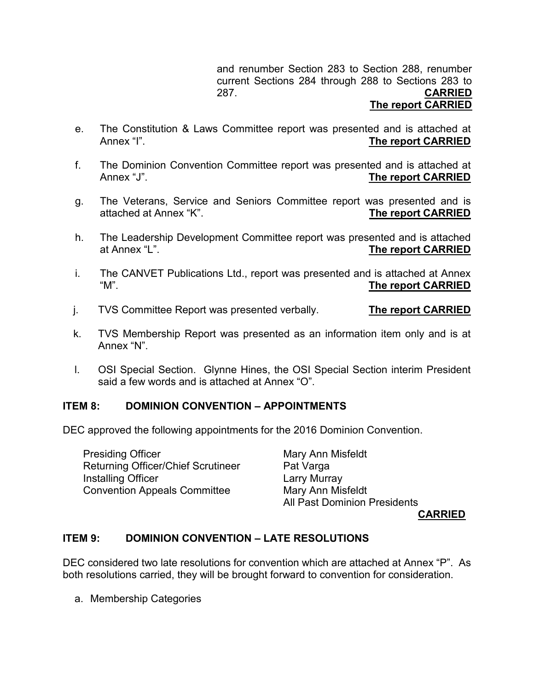and renumber Section 283 to Section 288, renumber current Sections 284 through 288 to Sections 283 to 287. **CARRIED**

### **The report CARRIED**

- <span id="page-6-0"></span>e. The Constitution & Laws Committee report was presented and is attached at<br>Annex "I". **The report CARRIED**
- <span id="page-6-1"></span>f. The Dominion Convention Committee report was presented and is attached at Annex "J". **The report CARRIED**
- <span id="page-6-2"></span>g. The Veterans, Service and Seniors Committee report was presented and is<br>attached at Annex "K". **The report CARRIED**
- h. The Leadership Development Committee report was presented and is attached<br>at Annex "L".<br>The report CARRIED **The report CARRIED**
- i. The CANVET Publications Ltd., report was presented and is attached at Annex "M". **The report CARRIED**
- <span id="page-6-3"></span>j. TVS Committee Report was presented verbally. **The report CARRIED**
- <span id="page-6-4"></span>k. TVS Membership Report was presented as an information item only and is at Annex "N".
- <span id="page-6-5"></span>l. OSI Special Section. Glynne Hines, the OSI Special Section interim President said a few words and is attached at Annex "O".

# <span id="page-6-6"></span>**ITEM 8: DOMINION CONVENTION – APPOINTMENTS**

DEC approved the following appointments for the 2016 Dominion Convention.

Presiding Officer **Mary Anni Misfeldt** Returning Officer/Chief Scrutineer Pat Varga Installing Officer **Larry Murray** Convention Appeals Committee Mary Ann Misfeldt

All Past Dominion Presidents

**CARRIED**

# <span id="page-6-7"></span>**ITEM 9: DOMINION CONVENTION – LATE RESOLUTIONS**

DEC considered two late resolutions for convention which are attached at Annex "P". As both resolutions carried, they will be brought forward to convention for consideration.

a. Membership Categories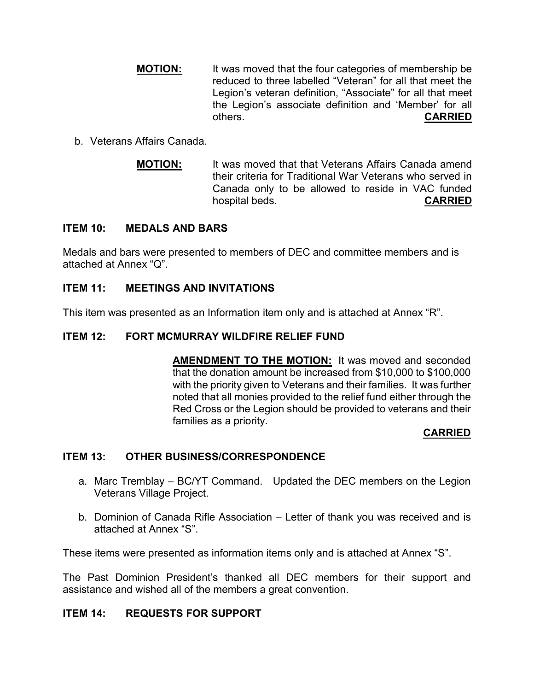- **MOTION:** It was moved that the four categories of membership be reduced to three labelled "Veteran" for all that meet the Legion's veteran definition, "Associate" for all that meet the Legion's associate definition and 'Member' for all others. **CARRIED**
- b. Veterans Affairs Canada.
	- **MOTION:** It was moved that that Veterans Affairs Canada amend their criteria for Traditional War Veterans who served in Canada only to be allowed to reside in VAC funded hospital beds. **CARRIED**

# <span id="page-7-0"></span>**ITEM 10: MEDALS AND BARS**

Medals and bars were presented to members of DEC and committee members and is attached at Annex "Q".

# <span id="page-7-1"></span>**ITEM 11: MEETINGS AND INVITATIONS**

This item was presented as an Information item only and is attached at Annex "R".

# <span id="page-7-2"></span>**ITEM 12: FORT MCMURRAY WILDFIRE RELIEF FUND**

**AMENDMENT TO THE MOTION:** It was moved and seconded that the donation amount be increased from \$10,000 to \$100,000 with the priority given to Veterans and their families. It was further noted that all monies provided to the relief fund either through the Red Cross or the Legion should be provided to veterans and their families as a priority.

# **CARRIED**

# <span id="page-7-3"></span>**ITEM 13: OTHER BUSINESS/CORRESPONDENCE**

- a. Marc Tremblay BC/YT Command. Updated the DEC members on the Legion Veterans Village Project.
- b. Dominion of Canada Rifle Association Letter of thank you was received and is attached at Annex "S".

These items were presented as information items only and is attached at Annex "S".

The Past Dominion President's thanked all DEC members for their support and assistance and wished all of the members a great convention.

# <span id="page-7-4"></span>**ITEM 14: REQUESTS FOR SUPPORT**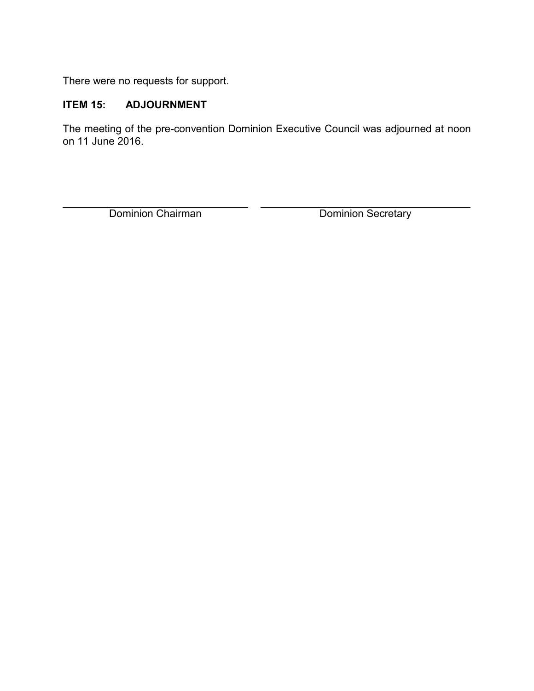There were no requests for support.

# <span id="page-8-0"></span>**ITEM 15: ADJOURNMENT**

The meeting of the pre-convention Dominion Executive Council was adjourned at noon on 11 June 2016.

Dominion Chairman Dominion Secretary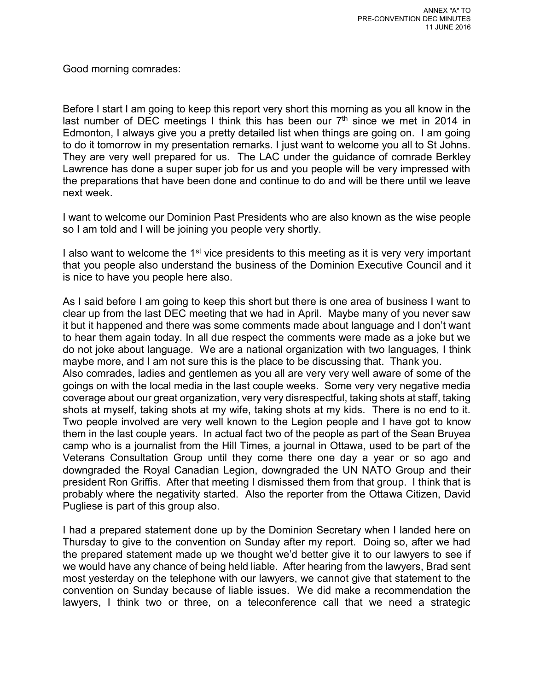Good morning comrades:

Before I start I am going to keep this report very short this morning as you all know in the last number of DEC meetings I think this has been our  $7<sup>th</sup>$  since we met in 2014 in Edmonton, I always give you a pretty detailed list when things are going on. I am going to do it tomorrow in my presentation remarks. I just want to welcome you all to St Johns. They are very well prepared for us. The LAC under the guidance of comrade Berkley Lawrence has done a super super job for us and you people will be very impressed with the preparations that have been done and continue to do and will be there until we leave next week.

I want to welcome our Dominion Past Presidents who are also known as the wise people so I am told and I will be joining you people very shortly.

I also want to welcome the  $1<sup>st</sup>$  vice presidents to this meeting as it is very very important that you people also understand the business of the Dominion Executive Council and it is nice to have you people here also.

As I said before I am going to keep this short but there is one area of business I want to clear up from the last DEC meeting that we had in April. Maybe many of you never saw it but it happened and there was some comments made about language and I don't want to hear them again today. In all due respect the comments were made as a joke but we do not joke about language. We are a national organization with two languages, I think maybe more, and I am not sure this is the place to be discussing that. Thank you. Also comrades, ladies and gentlemen as you all are very very well aware of some of the goings on with the local media in the last couple weeks. Some very very negative media coverage about our great organization, very very disrespectful, taking shots at staff, taking shots at myself, taking shots at my wife, taking shots at my kids. There is no end to it. Two people involved are very well known to the Legion people and I have got to know them in the last couple years. In actual fact two of the people as part of the Sean Bruyea camp who is a journalist from the Hill Times, a journal in Ottawa, used to be part of the Veterans Consultation Group until they come there one day a year or so ago and downgraded the Royal Canadian Legion, downgraded the UN NATO Group and their president Ron Griffis. After that meeting I dismissed them from that group. I think that is probably where the negativity started. Also the reporter from the Ottawa Citizen, David Pugliese is part of this group also.

I had a prepared statement done up by the Dominion Secretary when I landed here on Thursday to give to the convention on Sunday after my report. Doing so, after we had the prepared statement made up we thought we'd better give it to our lawyers to see if we would have any chance of being held liable. After hearing from the lawyers, Brad sent most yesterday on the telephone with our lawyers, we cannot give that statement to the convention on Sunday because of liable issues. We did make a recommendation the lawyers, I think two or three, on a teleconference call that we need a strategic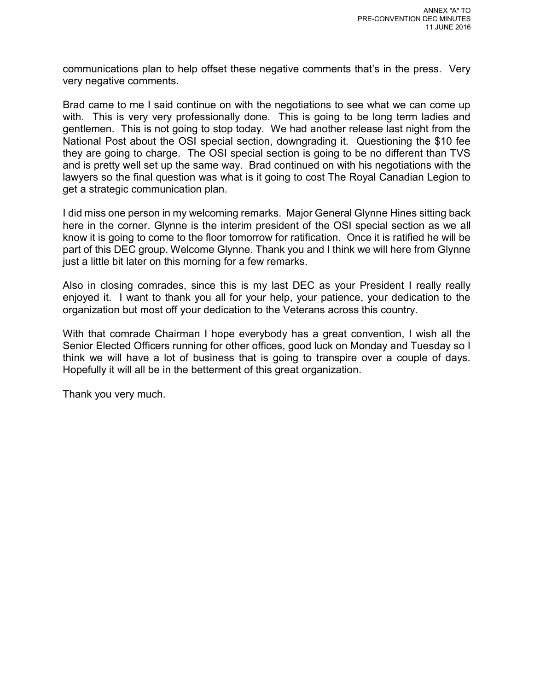communications plan to help offset these negative comments that's in the press. Very very negative comments.

Brad came to me I said continue on with the negotiations to see what we can come up with. This is very very professionally done. This is going to be long term ladies and gentlemen. This is not going to stop today. We had another release last night from the National Post about the OSI special section, downgrading it. Questioning the \$10 fee they are going to charge. The OSI special section is going to be no different than TVS and is pretty well set up the same way. Brad continued on with his negotiations with the lawyers so the final question was what is it going to cost The Royal Canadian Legion to get a strategic communication plan.

I did miss one person in my welcoming remarks. Major General Glynne Hines sitting back here in the corner. Glynne is the interim president of the OSI special section as we all know it is going to come to the floor tomorrow for ratification. Once it is ratified he will be part of this DEC group. Welcome Glynne. Thank you and I think we will here from Glynne just a little bit later on this morning for a few remarks.

Also in closing comrades, since this is my last DEC as your President I really really enjoyed it. I want to thank you all for your help, your patience, your dedication to the organization but most off your dedication to the Veterans across this country.

With that comrade Chairman I hope everybody has a great convention, I wish all the Senior Elected Officers running for other offices, good luck on Monday and Tuesday so I think we will have a lot of business that is going to transpire over a couple of days. Hopefully it will all be in the betterment of this great organization.

Thank you very much.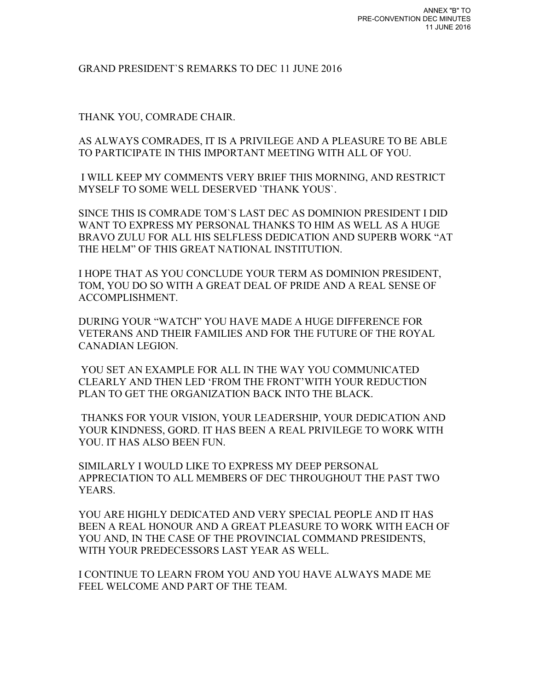#### GRAND PRESIDENT`S REMARKS TO DEC 11 JUNE 2016

THANK YOU, COMRADE CHAIR.

AS ALWAYS COMRADES, IT IS A PRIVILEGE AND A PLEASURE TO BE ABLE TO PARTICIPATE IN THIS IMPORTANT MEETING WITH ALL OF YOU.

 I WILL KEEP MY COMMENTS VERY BRIEF THIS MORNING, AND RESTRICT MYSELF TO SOME WELL DESERVED `THANK YOUS`.

SINCE THIS IS COMRADE TOM`S LAST DEC AS DOMINION PRESIDENT I DID WANT TO EXPRESS MY PERSONAL THANKS TO HIM AS WELL AS A HUGE BRAVO ZULU FOR ALL HIS SELFLESS DEDICATION AND SUPERB WORK "AT THE HELM" OF THIS GREAT NATIONAL INSTITUTION.

I HOPE THAT AS YOU CONCLUDE YOUR TERM AS DOMINION PRESIDENT, TOM, YOU DO SO WITH A GREAT DEAL OF PRIDE AND A REAL SENSE OF ACCOMPLISHMENT.

DURING YOUR "WATCH" YOU HAVE MADE A HUGE DIFFERENCE FOR VETERANS AND THEIR FAMILIES AND FOR THE FUTURE OF THE ROYAL CANADIAN LEGION.

YOU SET AN EXAMPLE FOR ALL IN THE WAY YOU COMMUNICATED CLEARLY AND THEN LED 'FROM THE FRONT'WITH YOUR REDUCTION PLAN TO GET THE ORGANIZATION BACK INTO THE BLACK.

THANKS FOR YOUR VISION, YOUR LEADERSHIP, YOUR DEDICATION AND YOUR KINDNESS, GORD. IT HAS BEEN A REAL PRIVILEGE TO WORK WITH YOU. IT HAS ALSO BEEN FUN.

SIMILARLY I WOULD LIKE TO EXPRESS MY DEEP PERSONAL APPRECIATION TO ALL MEMBERS OF DEC THROUGHOUT THE PAST TWO YEARS.

YOU ARE HIGHLY DEDICATED AND VERY SPECIAL PEOPLE AND IT HAS BEEN A REAL HONOUR AND A GREAT PLEASURE TO WORK WITH EACH OF YOU AND, IN THE CASE OF THE PROVINCIAL COMMAND PRESIDENTS, WITH YOUR PREDECESSORS LAST YEAR AS WELL.

I CONTINUE TO LEARN FROM YOU AND YOU HAVE ALWAYS MADE ME FEEL WELCOME AND PART OF THE TEAM.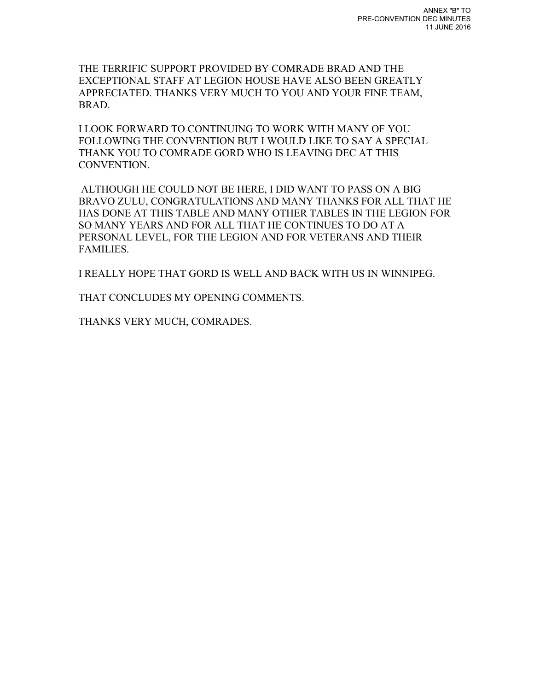THE TERRIFIC SUPPORT PROVIDED BY COMRADE BRAD AND THE EXCEPTIONAL STAFF AT LEGION HOUSE HAVE ALSO BEEN GREATLY APPRECIATED. THANKS VERY MUCH TO YOU AND YOUR FINE TEAM, BRAD.

I LOOK FORWARD TO CONTINUING TO WORK WITH MANY OF YOU FOLLOWING THE CONVENTION BUT I WOULD LIKE TO SAY A SPECIAL THANK YOU TO COMRADE GORD WHO IS LEAVING DEC AT THIS CONVENTION.

ALTHOUGH HE COULD NOT BE HERE, I DID WANT TO PASS ON A BIG BRAVO ZULU, CONGRATULATIONS AND MANY THANKS FOR ALL THAT HE HAS DONE AT THIS TABLE AND MANY OTHER TABLES IN THE LEGION FOR SO MANY YEARS AND FOR ALL THAT HE CONTINUES TO DO AT A PERSONAL LEVEL, FOR THE LEGION AND FOR VETERANS AND THEIR FAMILIES.

I REALLY HOPE THAT GORD IS WELL AND BACK WITH US IN WINNIPEG.

THAT CONCLUDES MY OPENING COMMENTS.

THANKS VERY MUCH, COMRADES.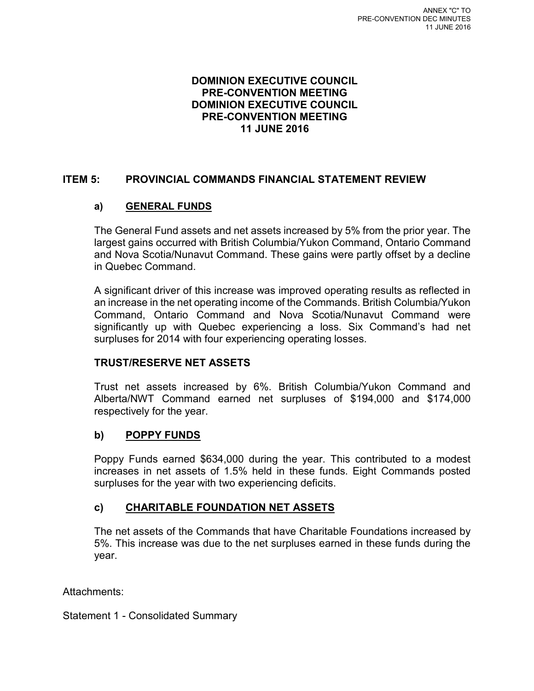### **DOMINION EXECUTIVE COUNCIL PRE-CONVENTION MEETING DOMINION EXECUTIVE COUNCIL PRE-CONVENTION MEETING 11 JUNE 2016**

# **ITEM 5: PROVINCIAL COMMANDS FINANCIAL STATEMENT REVIEW**

# **a) GENERAL FUNDS**

The General Fund assets and net assets increased by 5% from the prior year. The largest gains occurred with British Columbia/Yukon Command, Ontario Command and Nova Scotia/Nunavut Command. These gains were partly offset by a decline in Quebec Command.

A significant driver of this increase was improved operating results as reflected in an increase in the net operating income of the Commands. British Columbia/Yukon Command, Ontario Command and Nova Scotia/Nunavut Command were significantly up with Quebec experiencing a loss. Six Command's had net surpluses for 2014 with four experiencing operating losses.

# **TRUST/RESERVE NET ASSETS**

Trust net assets increased by 6%. British Columbia/Yukon Command and Alberta/NWT Command earned net surpluses of \$194,000 and \$174,000 respectively for the year.

# **b) POPPY FUNDS**

Poppy Funds earned \$634,000 during the year. This contributed to a modest increases in net assets of 1.5% held in these funds. Eight Commands posted surpluses for the year with two experiencing deficits.

# **c) CHARITABLE FOUNDATION NET ASSETS**

The net assets of the Commands that have Charitable Foundations increased by 5%. This increase was due to the net surpluses earned in these funds during the year.

Attachments:

Statement 1 - Consolidated Summary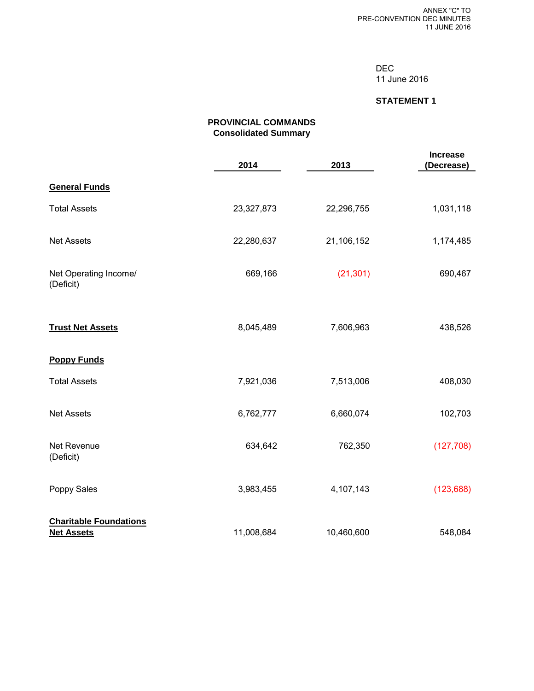DEC 11 June 2016

#### **STATEMENT 1**

#### **PROVINCIAL COMMANDS Consolidated Summary**

|                                                    | 2014       | 2013       | <b>Increase</b><br>(Decrease) |
|----------------------------------------------------|------------|------------|-------------------------------|
| <b>General Funds</b>                               |            |            |                               |
| <b>Total Assets</b>                                | 23,327,873 | 22,296,755 | 1,031,118                     |
| <b>Net Assets</b>                                  | 22,280,637 | 21,106,152 | 1,174,485                     |
| Net Operating Income/<br>(Deficit)                 | 669,166    | (21, 301)  | 690,467                       |
| <b>Trust Net Assets</b>                            | 8,045,489  | 7,606,963  | 438,526                       |
| <b>Poppy Funds</b>                                 |            |            |                               |
| <b>Total Assets</b>                                | 7,921,036  | 7,513,006  | 408,030                       |
| <b>Net Assets</b>                                  | 6,762,777  | 6,660,074  | 102,703                       |
| <b>Net Revenue</b><br>(Deficit)                    | 634,642    | 762,350    | (127, 708)                    |
| Poppy Sales                                        | 3,983,455  | 4,107,143  | (123, 688)                    |
| <b>Charitable Foundations</b><br><b>Net Assets</b> | 11,008,684 | 10,460,600 | 548,084                       |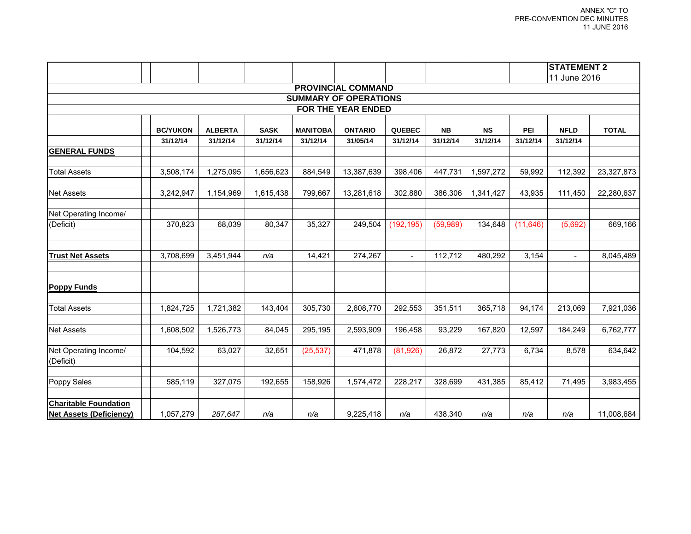|                                |                 |                |             |                 |                    |                |           |           |           | <b>STATEMENT 2</b> |              |
|--------------------------------|-----------------|----------------|-------------|-----------------|--------------------|----------------|-----------|-----------|-----------|--------------------|--------------|
|                                |                 |                |             |                 |                    |                |           |           |           | 11 June 2016       |              |
| <b>PROVINCIAL COMMAND</b>      |                 |                |             |                 |                    |                |           |           |           |                    |              |
| <b>SUMMARY OF OPERATIONS</b>   |                 |                |             |                 |                    |                |           |           |           |                    |              |
|                                |                 |                |             |                 | FOR THE YEAR ENDED |                |           |           |           |                    |              |
|                                | <b>BC/YUKON</b> | <b>ALBERTA</b> | <b>SASK</b> | <b>MANITOBA</b> | <b>ONTARIO</b>     | <b>QUEBEC</b>  | <b>NB</b> | <b>NS</b> | PEI       | <b>NFLD</b>        | <b>TOTAL</b> |
|                                | 31/12/14        | 31/12/14       | 31/12/14    | 31/12/14        | 31/05/14           | 31/12/14       | 31/12/14  | 31/12/14  | 31/12/14  | 31/12/14           |              |
| <b>GENERAL FUNDS</b>           |                 |                |             |                 |                    |                |           |           |           |                    |              |
|                                |                 |                |             |                 |                    |                |           |           |           |                    |              |
| <b>Total Assets</b>            | 3,508,174       | 1,275,095      | 1,656,623   | 884,549         | 13,387,639         | 398,406        | 447,731   | 1,597,272 | 59,992    | 112,392            | 23,327,873   |
| <b>Net Assets</b>              | 3,242,947       | 1,154,969      | 1,615,438   | 799,667         | 13,281,618         | 302,880        | 386,306   | 1,341,427 | 43,935    | 111,450            | 22,280,637   |
| Net Operating Income/          |                 |                |             |                 |                    |                |           |           |           |                    |              |
| (Deficit)                      | 370,823         | 68,039         | 80,347      | 35,327          | 249,504            | (192, 195)     | (59, 989) | 134,648   | (11, 646) | (5,692)            | 669,166      |
| <b>Trust Net Assets</b>        | 3,708,699       | 3,451,944      | n/a         | 14,421          | 274,267            | $\blacksquare$ | 112,712   | 480,292   | 3,154     | $\equiv$           | 8,045,489    |
|                                |                 |                |             |                 |                    |                |           |           |           |                    |              |
| <b>Poppy Funds</b>             |                 |                |             |                 |                    |                |           |           |           |                    |              |
| <b>Total Assets</b>            | 1,824,725       | 1,721,382      | 143,404     | 305,730         | 2,608,770          | 292,553        | 351,511   | 365,718   | 94,174    | 213,069            | 7,921,036    |
| <b>Net Assets</b>              | 1,608,502       | 1,526,773      | 84,045      | 295,195         | 2,593,909          | 196,458        | 93,229    | 167,820   | 12,597    | 184,249            | 6,762,777    |
| Net Operating Income/          | 104,592         | 63,027         | 32,651      | (25, 537)       | 471,878            | (81,926)       | 26,872    | 27,773    | 6,734     | 8,578              | 634,642      |
| (Deficit)                      |                 |                |             |                 |                    |                |           |           |           |                    |              |
| Poppy Sales                    | 585,119         | 327,075        | 192,655     | 158,926         | 1,574,472          | 228,217        | 328,699   | 431,385   | 85,412    | 71,495             | 3,983,455    |
| <b>Charitable Foundation</b>   |                 |                |             |                 |                    |                |           |           |           |                    |              |
| <b>Net Assets (Deficiency)</b> | 1,057,279       | 287,647        | n/a         | n/a             | 9,225,418          | n/a            | 438,340   | n/a       | n/a       | n/a                | 11,008,684   |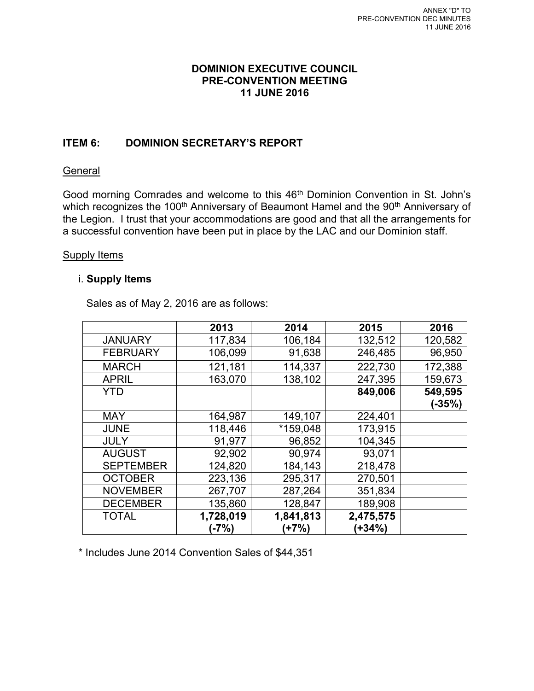# **DOMINION EXECUTIVE COUNCIL PRE-CONVENTION MEETING 11 JUNE 2016**

# **ITEM 6: DOMINION SECRETARY'S REPORT**

# **General**

Good morning Comrades and welcome to this 46<sup>th</sup> Dominion Convention in St. John's which recognizes the 100<sup>th</sup> Anniversary of Beaumont Hamel and the 90<sup>th</sup> Anniversary of the Legion. I trust that your accommodations are good and that all the arrangements for a successful convention have been put in place by the LAC and our Dominion staff.

# Supply Items

# i. **Supply Items**

Sales as of May 2, 2016 are as follows:

|                  | 2013      | 2014      | 2015      | 2016    |
|------------------|-----------|-----------|-----------|---------|
| <b>JANUARY</b>   | 117,834   | 106,184   | 132,512   | 120,582 |
| <b>FEBRUARY</b>  | 106,099   | 91,638    | 246,485   | 96,950  |
| <b>MARCH</b>     | 121,181   | 114,337   | 222,730   | 172,388 |
| <b>APRIL</b>     | 163,070   | 138,102   | 247,395   | 159,673 |
| <b>YTD</b>       |           |           | 849,006   | 549,595 |
|                  |           |           |           | (-35%)  |
| <b>MAY</b>       | 164,987   | 149,107   | 224,401   |         |
| <b>JUNE</b>      | 118,446   | *159,048  | 173,915   |         |
| <b>JULY</b>      | 91,977    | 96,852    | 104,345   |         |
| <b>AUGUST</b>    | 92,902    | 90,974    | 93,071    |         |
| <b>SEPTEMBER</b> | 124,820   | 184,143   | 218,478   |         |
| <b>OCTOBER</b>   | 223,136   | 295,317   | 270,501   |         |
| <b>NOVEMBER</b>  | 267,707   | 287,264   | 351,834   |         |
| <b>DECEMBER</b>  | 135,860   | 128,847   | 189,908   |         |
| <b>TOTAL</b>     | 1,728,019 | 1,841,813 | 2,475,575 |         |
|                  | (-7%)     | (+7%)     | $+34\%$   |         |

\* Includes June 2014 Convention Sales of \$44,351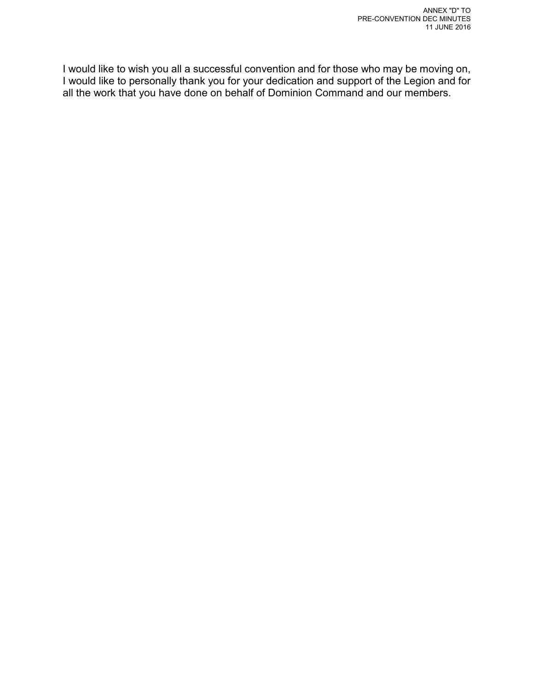I would like to wish you all a successful convention and for those who may be moving on, I would like to personally thank you for your dedication and support of the Legion and for all the work that you have done on behalf of Dominion Command and our members.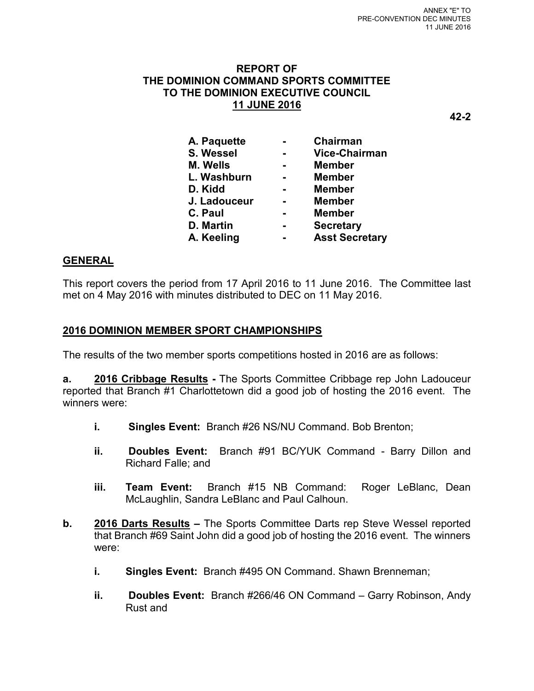# **REPORT OF THE DOMINION COMMAND SPORTS COMMITTEE TO THE DOMINION EXECUTIVE COUNCIL 11 JUNE 2016**

**42-2** 

| A. Paquette     |                | Chairman              |
|-----------------|----------------|-----------------------|
| S. Wessel       | $\blacksquare$ | <b>Vice-Chairman</b>  |
| <b>M. Wells</b> | $\blacksquare$ | <b>Member</b>         |
| L. Washburn     | $\blacksquare$ | <b>Member</b>         |
| D. Kidd         |                | <b>Member</b>         |
| J. Ladouceur    | $\blacksquare$ | <b>Member</b>         |
| C. Paul         | $\blacksquare$ | <b>Member</b>         |
| D. Martin       |                | <b>Secretary</b>      |
| A. Keeling      | $\blacksquare$ | <b>Asst Secretary</b> |
|                 |                |                       |

# **GENERAL**

This report covers the period from 17 April 2016 to 11 June 2016. The Committee last met on 4 May 2016 with minutes distributed to DEC on 11 May 2016.

# **2016 DOMINION MEMBER SPORT CHAMPIONSHIPS**

The results of the two member sports competitions hosted in 2016 are as follows:

**a. 2016 Cribbage Results -** The Sports Committee Cribbage rep John Ladouceur reported that Branch #1 Charlottetown did a good job of hosting the 2016 event. The winners were:

- **i. Singles Event:** Branch #26 NS/NU Command. Bob Brenton;
- **ii. Doubles Event:** Branch #91 BC/YUK Command Barry Dillon and Richard Falle; and
- **iii. Team Event:** Branch #15 NB Command: Roger LeBlanc, Dean McLaughlin, Sandra LeBlanc and Paul Calhoun.
- **b. 2016 Darts Results** The Sports Committee Darts rep Steve Wessel reported that Branch #69 Saint John did a good job of hosting the 2016 event. The winners were:
	- **i.** Singles Event: Branch #495 ON Command. Shawn Brenneman;
	- **ii. Doubles Event:** Branch #266/46 ON Command Garry Robinson, Andy Rust and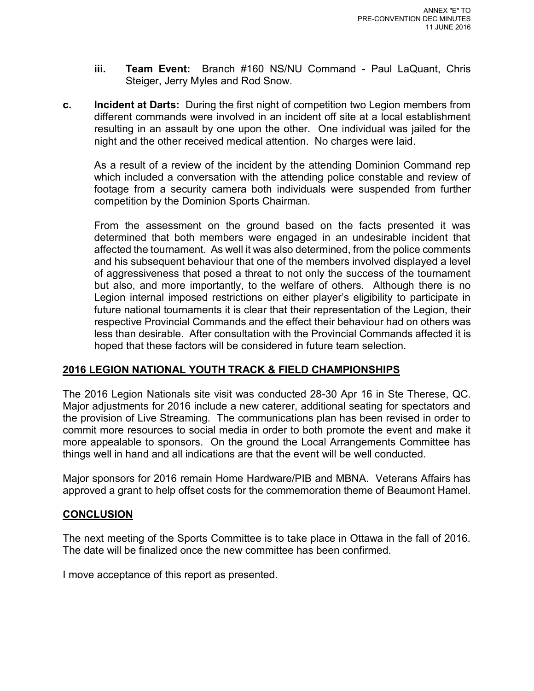- **iii. Team Event:** Branch #160 NS/NU Command Paul LaQuant, Chris Steiger, Jerry Myles and Rod Snow.
- **c. Incident at Darts:** During the first night of competition two Legion members from different commands were involved in an incident off site at a local establishment resulting in an assault by one upon the other. One individual was jailed for the night and the other received medical attention. No charges were laid.

 As a result of a review of the incident by the attending Dominion Command rep which included a conversation with the attending police constable and review of footage from a security camera both individuals were suspended from further competition by the Dominion Sports Chairman.

 From the assessment on the ground based on the facts presented it was determined that both members were engaged in an undesirable incident that affected the tournament. As well it was also determined, from the police comments and his subsequent behaviour that one of the members involved displayed a level of aggressiveness that posed a threat to not only the success of the tournament but also, and more importantly, to the welfare of others. Although there is no Legion internal imposed restrictions on either player's eligibility to participate in future national tournaments it is clear that their representation of the Legion, their respective Provincial Commands and the effect their behaviour had on others was less than desirable. After consultation with the Provincial Commands affected it is hoped that these factors will be considered in future team selection.

# **2016 LEGION NATIONAL YOUTH TRACK & FIELD CHAMPIONSHIPS**

The 2016 Legion Nationals site visit was conducted 28-30 Apr 16 in Ste Therese, QC. Major adjustments for 2016 include a new caterer, additional seating for spectators and the provision of Live Streaming. The communications plan has been revised in order to commit more resources to social media in order to both promote the event and make it more appealable to sponsors. On the ground the Local Arrangements Committee has things well in hand and all indications are that the event will be well conducted.

Major sponsors for 2016 remain Home Hardware/PIB and MBNA. Veterans Affairs has approved a grant to help offset costs for the commemoration theme of Beaumont Hamel.

# **CONCLUSION**

The next meeting of the Sports Committee is to take place in Ottawa in the fall of 2016. The date will be finalized once the new committee has been confirmed.

I move acceptance of this report as presented.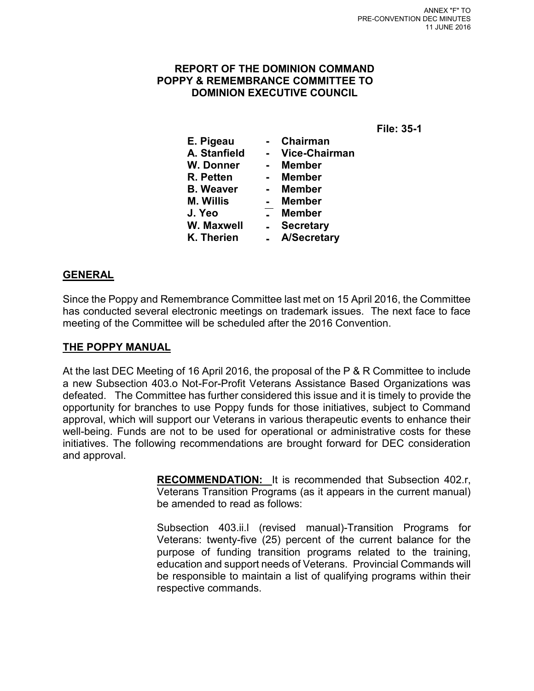# **REPORT OF THE DOMINION COMMAND POPPY & REMEMBRANCE COMMITTEE TO DOMINION EXECUTIVE COUNCIL**

| E. Pigeau        | <b>Chairman</b>      |
|------------------|----------------------|
| A. Stanfield     | <b>Vice-Chairman</b> |
| <b>W. Donner</b> | <b>Member</b>        |
| R. Petten        | <b>Member</b>        |
| <b>B.</b> Weaver | <b>Member</b>        |
| <b>M. Willis</b> | <b>Member</b>        |
| J. Yeo           | <b>Member</b>        |
| W. Maxwell       | <b>Secretary</b>     |
| K. Therien       | <b>A/Secretary</b>   |
|                  |                      |

# **GENERAL**

Since the Poppy and Remembrance Committee last met on 15 April 2016, the Committee has conducted several electronic meetings on trademark issues. The next face to face meeting of the Committee will be scheduled after the 2016 Convention.

# **THE POPPY MANUAL**

At the last DEC Meeting of 16 April 2016, the proposal of the P & R Committee to include a new Subsection 403.o Not-For-Profit Veterans Assistance Based Organizations was defeated. The Committee has further considered this issue and it is timely to provide the opportunity for branches to use Poppy funds for those initiatives, subject to Command approval, which will support our Veterans in various therapeutic events to enhance their well-being. Funds are not to be used for operational or administrative costs for these initiatives. The following recommendations are brought forward for DEC consideration and approval.

> **RECOMMENDATION:** It is recommended that Subsection 402.r, Veterans Transition Programs (as it appears in the current manual) be amended to read as follows:

> Subsection 403.ii.l (revised manual)-Transition Programs for Veterans: twenty-five (25) percent of the current balance for the purpose of funding transition programs related to the training, education and support needs of Veterans. Provincial Commands will be responsible to maintain a list of qualifying programs within their respective commands.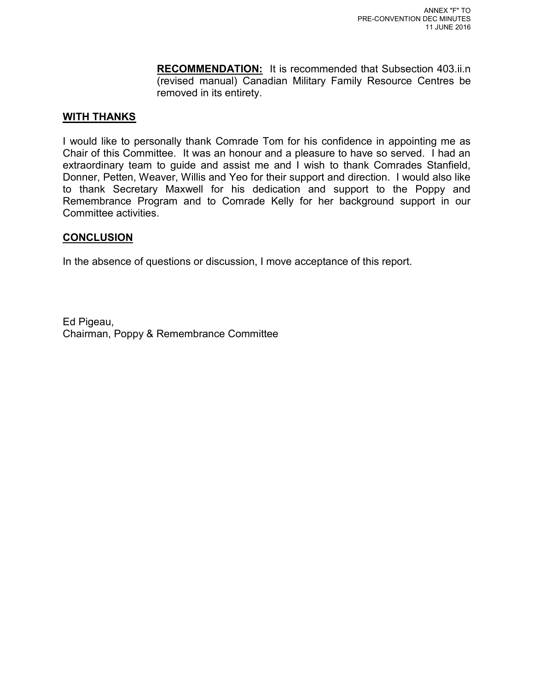**RECOMMENDATION:** It is recommended that Subsection 403.ii.n (revised manual) Canadian Military Family Resource Centres be removed in its entirety.

# **WITH THANKS**

I would like to personally thank Comrade Tom for his confidence in appointing me as Chair of this Committee. It was an honour and a pleasure to have so served. I had an extraordinary team to guide and assist me and I wish to thank Comrades Stanfield, Donner, Petten, Weaver, Willis and Yeo for their support and direction. I would also like to thank Secretary Maxwell for his dedication and support to the Poppy and Remembrance Program and to Comrade Kelly for her background support in our Committee activities.

# **CONCLUSION**

In the absence of questions or discussion, I move acceptance of this report.

Ed Pigeau, Chairman, Poppy & Remembrance Committee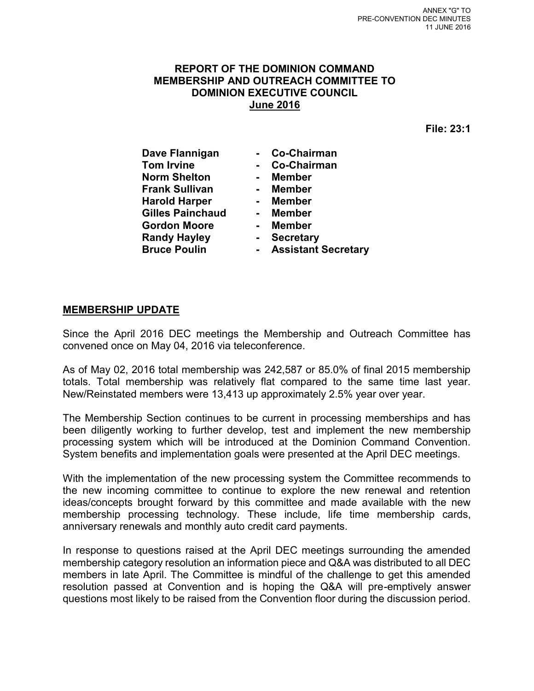# **REPORT OF THE DOMINION COMMAND MEMBERSHIP AND OUTREACH COMMITTEE TO DOMINION EXECUTIVE COUNCIL June 2016**

**File: 23:1** 

| Dave Flannigan          | Co-Chairman                |
|-------------------------|----------------------------|
| <b>Tom Irvine</b>       | Co-Chairman                |
| <b>Norm Shelton</b>     | <b>Member</b>              |
| <b>Frank Sullivan</b>   | <b>Member</b>              |
| <b>Harold Harper</b>    | <b>Member</b>              |
| <b>Gilles Painchaud</b> | Member                     |
| <b>Gordon Moore</b>     | Member                     |
| <b>Randy Hayley</b>     | <b>Secretary</b>           |
| <b>Bruce Poulin</b>     | <b>Assistant Secretary</b> |

#### **MEMBERSHIP UPDATE**

Since the April 2016 DEC meetings the Membership and Outreach Committee has convened once on May 04, 2016 via teleconference.

As of May 02, 2016 total membership was 242,587 or 85.0% of final 2015 membership totals. Total membership was relatively flat compared to the same time last year. New/Reinstated members were 13,413 up approximately 2.5% year over year.

The Membership Section continues to be current in processing memberships and has been diligently working to further develop, test and implement the new membership processing system which will be introduced at the Dominion Command Convention. System benefits and implementation goals were presented at the April DEC meetings.

With the implementation of the new processing system the Committee recommends to the new incoming committee to continue to explore the new renewal and retention ideas/concepts brought forward by this committee and made available with the new membership processing technology. These include, life time membership cards, anniversary renewals and monthly auto credit card payments.

In response to questions raised at the April DEC meetings surrounding the amended membership category resolution an information piece and Q&A was distributed to all DEC members in late April. The Committee is mindful of the challenge to get this amended resolution passed at Convention and is hoping the Q&A will pre-emptively answer questions most likely to be raised from the Convention floor during the discussion period.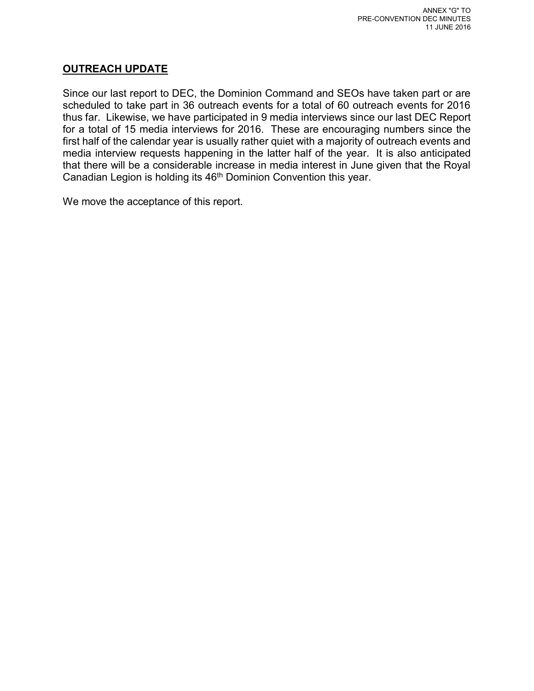# **OUTREACH UPDATE**

Since our last report to DEC, the Dominion Command and SEOs have taken part or are scheduled to take part in 36 outreach events for a total of 60 outreach events for 2016 thus far. Likewise, we have participated in 9 media interviews since our last DEC Report for a total of 15 media interviews for 2016. These are encouraging numbers since the first half of the calendar year is usually rather quiet with a majority of outreach events and media interview requests happening in the latter half of the year. It is also anticipated that there will be a considerable increase in media interest in June given that the Royal Canadian Legion is holding its 46th Dominion Convention this year.

We move the acceptance of this report.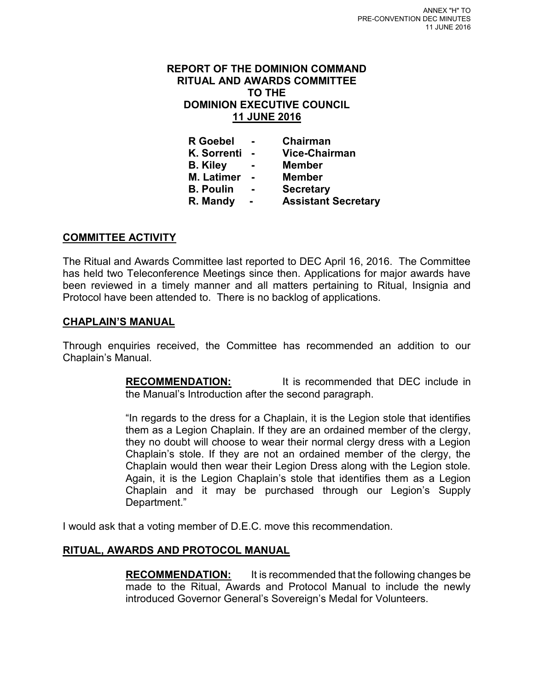#### **REPORT OF THE DOMINION COMMAND RITUAL AND AWARDS COMMITTEE TO THE DOMINION EXECUTIVE COUNCIL 11 JUNE 2016**

| <b>R</b> Goebel    | Chairman                   |
|--------------------|----------------------------|
| <b>K. Sorrenti</b> | <b>Vice-Chairman</b>       |
| <b>B.</b> Kiley    | <b>Member</b>              |
| <b>M. Latimer</b>  | <b>Member</b>              |
| <b>B. Poulin</b>   | <b>Secretary</b>           |
| R. Mandy           | <b>Assistant Secretary</b> |

# **COMMITTEE ACTIVITY**

The Ritual and Awards Committee last reported to DEC April 16, 2016. The Committee has held two Teleconference Meetings since then. Applications for major awards have been reviewed in a timely manner and all matters pertaining to Ritual, Insignia and Protocol have been attended to. There is no backlog of applications.

#### **CHAPLAIN'S MANUAL**

Through enquiries received, the Committee has recommended an addition to our Chaplain's Manual.

> **RECOMMENDATION:** It is recommended that DEC include in the Manual's Introduction after the second paragraph.

> "In regards to the dress for a Chaplain, it is the Legion stole that identifies them as a Legion Chaplain. If they are an ordained member of the clergy, they no doubt will choose to wear their normal clergy dress with a Legion Chaplain's stole. If they are not an ordained member of the clergy, the Chaplain would then wear their Legion Dress along with the Legion stole. Again, it is the Legion Chaplain's stole that identifies them as a Legion Chaplain and it may be purchased through our Legion's Supply Department."

I would ask that a voting member of D.E.C. move this recommendation.

# **RITUAL, AWARDS AND PROTOCOL MANUAL**

**RECOMMENDATION:** It is recommended that the following changes be made to the Ritual, Awards and Protocol Manual to include the newly introduced Governor General's Sovereign's Medal for Volunteers.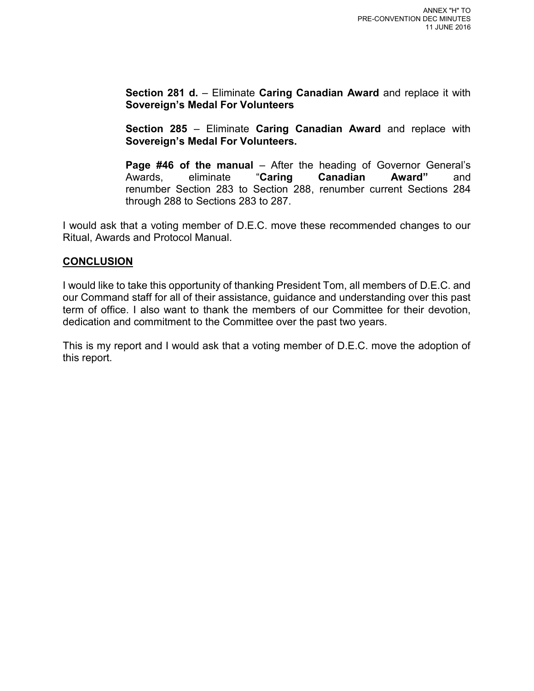**Section 281 d.** – Eliminate **Caring Canadian Award** and replace it with **Sovereign's Medal For Volunteers** 

**Section 285** – Eliminate **Caring Canadian Award** and replace with **Sovereign's Medal For Volunteers.** 

**Page #46 of the manual** – After the heading of Governor General's Award" and **Award**" and Awards, eliminate "**Caring Canadian Award"** and renumber Section 283 to Section 288, renumber current Sections 284 through 288 to Sections 283 to 287.

I would ask that a voting member of D.E.C. move these recommended changes to our Ritual, Awards and Protocol Manual.

# **CONCLUSION**

I would like to take this opportunity of thanking President Tom, all members of D.E.C. and our Command staff for all of their assistance, guidance and understanding over this past term of office. I also want to thank the members of our Committee for their devotion, dedication and commitment to the Committee over the past two years.

This is my report and I would ask that a voting member of D.E.C. move the adoption of this report.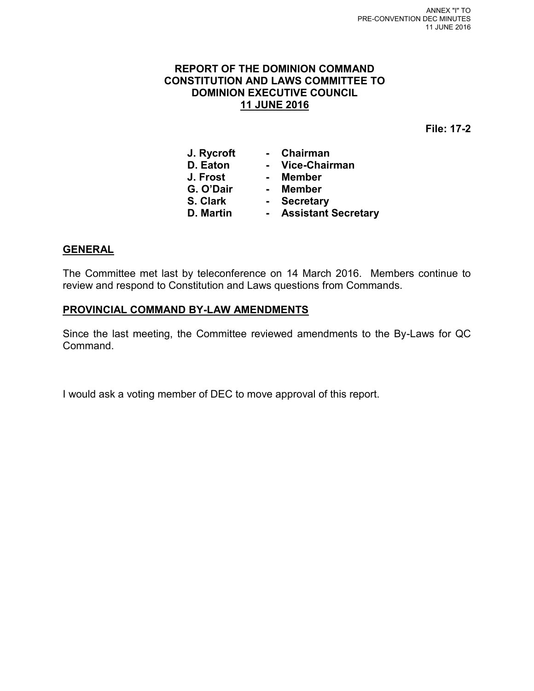# **REPORT OF THE DOMINION COMMAND CONSTITUTION AND LAWS COMMITTEE TO DOMINION EXECUTIVE COUNCIL 11 JUNE 2016**

**File: 17-2** 

| J. Rycroft |                | Chairman                   |
|------------|----------------|----------------------------|
| D. Eaton   |                | <b>Vice-Chairman</b>       |
| J. Frost   |                | <b>Member</b>              |
| G. O'Dair  | $\blacksquare$ | <b>Member</b>              |
| S. Clark   |                | <b>Secretary</b>           |
| D. Martin  |                | <b>Assistant Secretary</b> |

# **GENERAL**

The Committee met last by teleconference on 14 March 2016. Members continue to review and respond to Constitution and Laws questions from Commands.

# **PROVINCIAL COMMAND BY-LAW AMENDMENTS**

Since the last meeting, the Committee reviewed amendments to the By-Laws for QC Command.

I would ask a voting member of DEC to move approval of this report.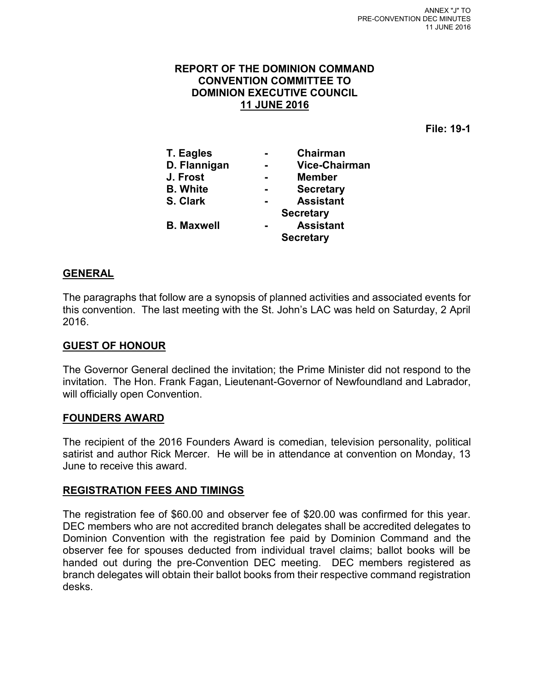#### **REPORT OF THE DOMINION COMMAND CONVENTION COMMITTEE TO DOMINION EXECUTIVE COUNCIL 11 JUNE 2016**

**File: 19-1** 

| <b>T. Eagles</b>  | Chairman             |
|-------------------|----------------------|
| D. Flannigan      | <b>Vice-Chairman</b> |
| J. Frost          | <b>Member</b>        |
| <b>B.</b> White   | <b>Secretary</b>     |
| S. Clark          | <b>Assistant</b>     |
|                   | <b>Secretary</b>     |
| <b>B. Maxwell</b> | <b>Assistant</b>     |
|                   | <b>Secretary</b>     |

# **GENERAL**

The paragraphs that follow are a synopsis of planned activities and associated events for this convention. The last meeting with the St. John's LAC was held on Saturday, 2 April 2016.

#### **GUEST OF HONOUR**

The Governor General declined the invitation; the Prime Minister did not respond to the invitation. The Hon. Frank Fagan, Lieutenant-Governor of Newfoundland and Labrador, will officially open Convention.

#### **FOUNDERS AWARD**

The recipient of the 2016 Founders Award is comedian, television personality, political satirist and author Rick Mercer. He will be in attendance at convention on Monday, 13 June to receive this award.

#### **REGISTRATION FEES AND TIMINGS**

The registration fee of \$60.00 and observer fee of \$20.00 was confirmed for this year. DEC members who are not accredited branch delegates shall be accredited delegates to Dominion Convention with the registration fee paid by Dominion Command and the observer fee for spouses deducted from individual travel claims; ballot books will be handed out during the pre-Convention DEC meeting. DEC members registered as branch delegates will obtain their ballot books from their respective command registration desks.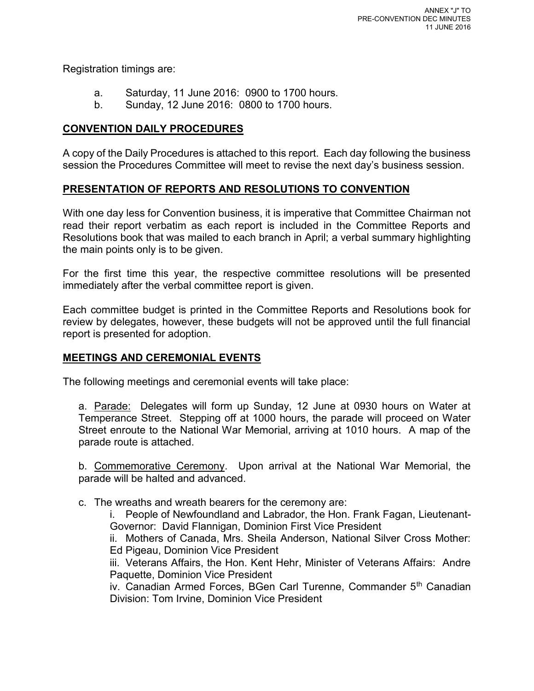Registration timings are:

- a. Saturday, 11 June 2016: 0900 to 1700 hours.
- b. Sunday, 12 June 2016: 0800 to 1700 hours.

# **CONVENTION DAILY PROCEDURES**

A copy of the Daily Procedures is attached to this report. Each day following the business session the Procedures Committee will meet to revise the next day's business session.

# **PRESENTATION OF REPORTS AND RESOLUTIONS TO CONVENTION**

With one day less for Convention business, it is imperative that Committee Chairman not read their report verbatim as each report is included in the Committee Reports and Resolutions book that was mailed to each branch in April; a verbal summary highlighting the main points only is to be given.

For the first time this year, the respective committee resolutions will be presented immediately after the verbal committee report is given.

Each committee budget is printed in the Committee Reports and Resolutions book for review by delegates, however, these budgets will not be approved until the full financial report is presented for adoption.

# **MEETINGS AND CEREMONIAL EVENTS**

The following meetings and ceremonial events will take place:

a. Parade: Delegates will form up Sunday, 12 June at 0930 hours on Water at Temperance Street. Stepping off at 1000 hours, the parade will proceed on Water Street enroute to the National War Memorial, arriving at 1010 hours. A map of the parade route is attached.

b. Commemorative Ceremony. Upon arrival at the National War Memorial, the parade will be halted and advanced.

c. The wreaths and wreath bearers for the ceremony are:

i. People of Newfoundland and Labrador, the Hon. Frank Fagan, Lieutenant-Governor: David Flannigan, Dominion First Vice President

ii. Mothers of Canada, Mrs. Sheila Anderson, National Silver Cross Mother: Ed Pigeau, Dominion Vice President

iii. Veterans Affairs, the Hon. Kent Hehr, Minister of Veterans Affairs: Andre Paquette, Dominion Vice President

iv. Canadian Armed Forces, BGen Carl Turenne, Commander 5<sup>th</sup> Canadian Division: Tom Irvine, Dominion Vice President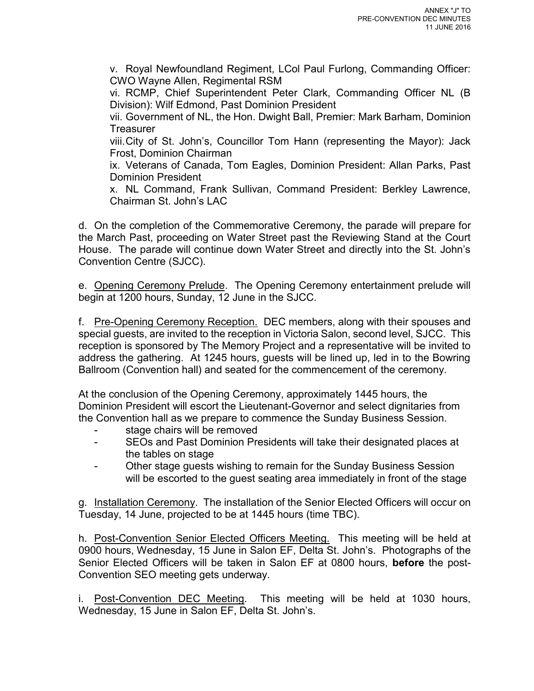v. Royal Newfoundland Regiment, LCol Paul Furlong, Commanding Officer: CWO Wayne Allen, Regimental RSM

vi. RCMP, Chief Superintendent Peter Clark, Commanding Officer NL (B Division): Wilf Edmond, Past Dominion President

vii. Government of NL, the Hon. Dwight Ball, Premier: Mark Barham, Dominion **Treasurer** 

viii. City of St. John's, Councillor Tom Hann (representing the Mayor): Jack Frost, Dominion Chairman

ix. Veterans of Canada, Tom Eagles, Dominion President: Allan Parks, Past Dominion President

x. NL Command, Frank Sullivan, Command President: Berkley Lawrence, Chairman St. John's LAC

d. On the completion of the Commemorative Ceremony, the parade will prepare for the March Past, proceeding on Water Street past the Reviewing Stand at the Court House. The parade will continue down Water Street and directly into the St. John's Convention Centre (SJCC).

e. Opening Ceremony Prelude. The Opening Ceremony entertainment prelude will begin at 1200 hours, Sunday, 12 June in the SJCC.

f. Pre-Opening Ceremony Reception. DEC members, along with their spouses and special guests, are invited to the reception in Victoria Salon, second level, SJCC. This reception is sponsored by The Memory Project and a representative will be invited to address the gathering. At 1245 hours, guests will be lined up, led in to the Bowring Ballroom (Convention hall) and seated for the commencement of the ceremony.

At the conclusion of the Opening Ceremony, approximately 1445 hours, the Dominion President will escort the Lieutenant-Governor and select dignitaries from the Convention hall as we prepare to commence the Sunday Business Session.

- stage chairs will be removed
- SEOs and Past Dominion Presidents will take their designated places at the tables on stage
- Other stage guests wishing to remain for the Sunday Business Session will be escorted to the guest seating area immediately in front of the stage

g. Installation Ceremony. The installation of the Senior Elected Officers will occur on Tuesday, 14 June, projected to be at 1445 hours (time TBC).

h. Post-Convention Senior Elected Officers Meeting. This meeting will be held at 0900 hours, Wednesday, 15 June in Salon EF, Delta St. John's. Photographs of the Senior Elected Officers will be taken in Salon EF at 0800 hours, **before** the post-Convention SEO meeting gets underway.

i. Post-Convention DEC Meeting. This meeting will be held at 1030 hours, Wednesday, 15 June in Salon EF, Delta St. John's.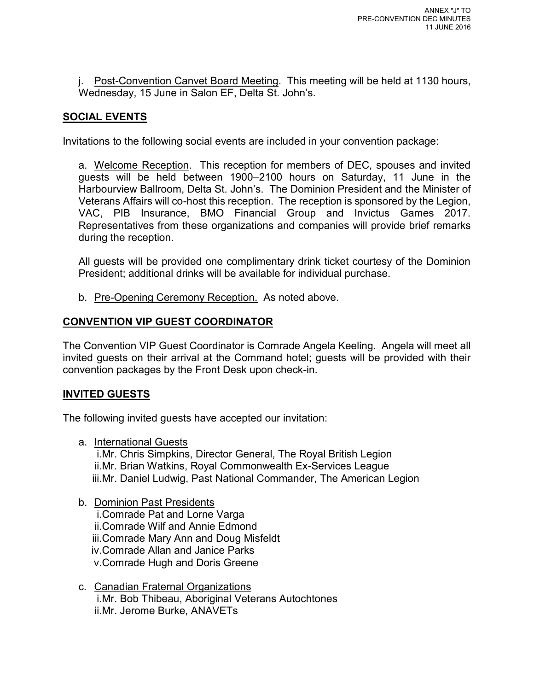j. Post-Convention Canvet Board Meeting. This meeting will be held at 1130 hours, Wednesday, 15 June in Salon EF, Delta St. John's.

# **SOCIAL EVENTS**

Invitations to the following social events are included in your convention package:

a. Welcome Reception. This reception for members of DEC, spouses and invited guests will be held between 1900–2100 hours on Saturday, 11 June in the Harbourview Ballroom, Delta St. John's. The Dominion President and the Minister of Veterans Affairs will co-host this reception. The reception is sponsored by the Legion, VAC, PIB Insurance, BMO Financial Group and Invictus Games 2017. Representatives from these organizations and companies will provide brief remarks during the reception.

All guests will be provided one complimentary drink ticket courtesy of the Dominion President; additional drinks will be available for individual purchase.

b. Pre-Opening Ceremony Reception. As noted above.

# **CONVENTION VIP GUEST COORDINATOR**

The Convention VIP Guest Coordinator is Comrade Angela Keeling. Angela will meet all invited guests on their arrival at the Command hotel; guests will be provided with their convention packages by the Front Desk upon check-in.

# **INVITED GUESTS**

The following invited guests have accepted our invitation:

a. International Guests

i.Mr. Chris Simpkins, Director General, The Royal British Legion ii.Mr. Brian Watkins, Royal Commonwealth Ex-Services League iii.Mr. Daniel Ludwig, Past National Commander, The American Legion

b. Dominion Past Presidents

i.Comrade Pat and Lorne Varga ii.Comrade Wilf and Annie Edmond iii.Comrade Mary Ann and Doug Misfeldt iv.Comrade Allan and Janice Parks v.Comrade Hugh and Doris Greene

c. Canadian Fraternal Organizations i.Mr. Bob Thibeau, Aboriginal Veterans Autochtones ii.Mr. Jerome Burke, ANAVETs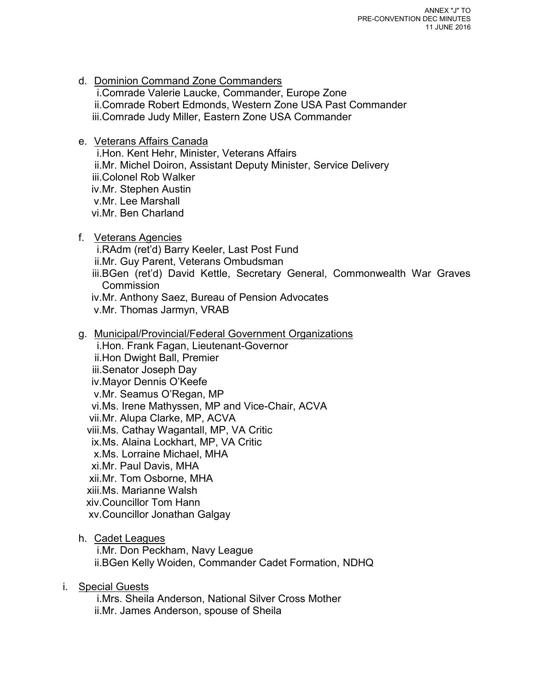- d. Dominion Command Zone Commanders i.Comrade Valerie Laucke, Commander, Europe Zone ii.Comrade Robert Edmonds, Western Zone USA Past Commander iii.Comrade Judy Miller, Eastern Zone USA Commander
- e. Veterans Affairs Canada

i.Hon. Kent Hehr, Minister, Veterans Affairs ii.Mr. Michel Doiron, Assistant Deputy Minister, Service Delivery iii.Colonel Rob Walker iv.Mr. Stephen Austin v.Mr. Lee Marshall vi.Mr. Ben Charland

f. Veterans Agencies

i.RAdm (ret'd) Barry Keeler, Last Post Fund ii.Mr. Guy Parent, Veterans Ombudsman iii.BGen (ret'd) David Kettle, Secretary General, Commonwealth War Graves **Commission** iv.Mr. Anthony Saez, Bureau of Pension Advocates v.Mr. Thomas Jarmyn, VRAB

g. Municipal/Provincial/Federal Government Organizations

i.Hon. Frank Fagan, Lieutenant-Governor ii.Hon Dwight Ball, Premier iii.Senator Joseph Day iv.Mayor Dennis O'Keefe v.Mr. Seamus O'Regan, MP vi.Ms. Irene Mathyssen, MP and Vice-Chair, ACVA vii.Mr. Alupa Clarke, MP, ACVA viii.Ms. Cathay Wagantall, MP, VA Critic ix.Ms. Alaina Lockhart, MP, VA Critic x.Ms. Lorraine Michael, MHA xi.Mr. Paul Davis, MHA xii.Mr. Tom Osborne, MHA xiii.Ms. Marianne Walsh xiv.Councillor Tom Hann xv.Councillor Jonathan Galgay

h. Cadet Leagues

i.Mr. Don Peckham, Navy League ii.BGen Kelly Woiden, Commander Cadet Formation, NDHQ

# i. Special Guests

i.Mrs. Sheila Anderson, National Silver Cross Mother ii.Mr. James Anderson, spouse of Sheila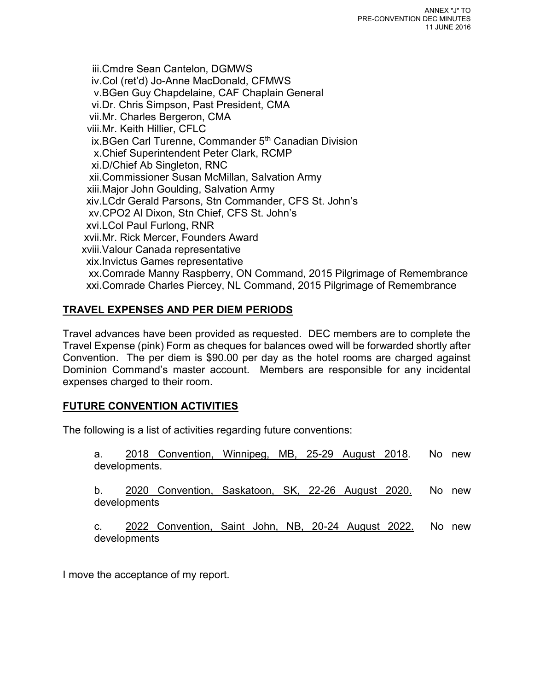iii.Cmdre Sean Cantelon, DGMWS iv.Col (ret'd) Jo-Anne MacDonald, CFMWS v.BGen Guy Chapdelaine, CAF Chaplain General vi.Dr. Chris Simpson, Past President, CMA vii.Mr. Charles Bergeron, CMA viii.Mr. Keith Hillier, CFLC ix.BGen Carl Turenne, Commander 5<sup>th</sup> Canadian Division x.Chief Superintendent Peter Clark, RCMP xi.D/Chief Ab Singleton, RNC xii.Commissioner Susan McMillan, Salvation Army xiii.Major John Goulding, Salvation Army xiv.LCdr Gerald Parsons, Stn Commander, CFS St. John's xv.CPO2 Al Dixon, Stn Chief, CFS St. John's xvi.LCol Paul Furlong, RNR xvii.Mr. Rick Mercer, Founders Award xviii.Valour Canada representative xix.Invictus Games representative xx.Comrade Manny Raspberry, ON Command, 2015 Pilgrimage of Remembrance xxi.Comrade Charles Piercey, NL Command, 2015 Pilgrimage of Remembrance

# **TRAVEL EXPENSES AND PER DIEM PERIODS**

Travel advances have been provided as requested. DEC members are to complete the Travel Expense (pink) Form as cheques for balances owed will be forwarded shortly after Convention. The per diem is \$90.00 per day as the hotel rooms are charged against Dominion Command's master account. Members are responsible for any incidental expenses charged to their room.

# **FUTURE CONVENTION ACTIVITIES**

The following is a list of activities regarding future conventions:

a. 2018 Convention, Winnipeg, MB, 25-29 August 2018. No new developments.

b. 2020 Convention, Saskatoon, SK, 22-26 August 2020. No new developments

c. 2022 Convention, Saint John, NB, 20-24 August 2022. No new developments

I move the acceptance of my report.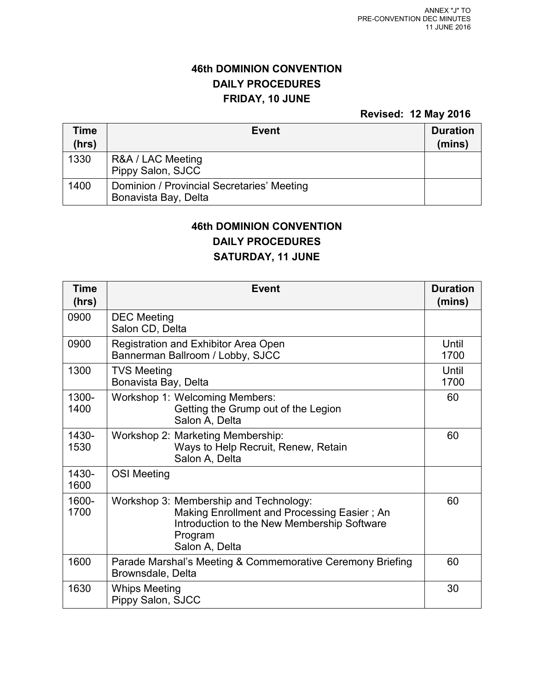# **46th DOMINION CONVENTION DAILY PROCEDURES FRIDAY, 10 JUNE**

**Revised: 12 May 2016**

| Time<br>(hrs) | <b>Event</b>                                                       | <b>Duration</b><br>(mins) |
|---------------|--------------------------------------------------------------------|---------------------------|
| 1330          | R&A / LAC Meeting<br>Pippy Salon, SJCC                             |                           |
| 1400          | Dominion / Provincial Secretaries' Meeting<br>Bonavista Bay, Delta |                           |

# **46th DOMINION CONVENTION**

**DAILY PROCEDURES** 

# **SATURDAY, 11 JUNE**

| <b>Time</b><br>(hrs) | <b>Event</b>                                                                                                                                                      | <b>Duration</b><br>(mins) |
|----------------------|-------------------------------------------------------------------------------------------------------------------------------------------------------------------|---------------------------|
| 0900                 | <b>DEC</b> Meeting<br>Salon CD, Delta                                                                                                                             |                           |
| 0900                 | Registration and Exhibitor Area Open<br>Bannerman Ballroom / Lobby, SJCC                                                                                          | Until<br>1700             |
| 1300                 | <b>TVS Meeting</b><br>Bonavista Bay, Delta                                                                                                                        | Until<br>1700             |
| 1300-<br>1400        | Workshop 1: Welcoming Members:<br>Getting the Grump out of the Legion<br>Salon A, Delta                                                                           | 60                        |
| 1430-<br>1530        | Workshop 2: Marketing Membership:<br>Ways to Help Recruit, Renew, Retain<br>Salon A, Delta                                                                        | 60                        |
| 1430-<br>1600        | <b>OSI Meeting</b>                                                                                                                                                |                           |
| 1600-<br>1700        | Workshop 3: Membership and Technology:<br>Making Enrollment and Processing Easier; An<br>Introduction to the New Membership Software<br>Program<br>Salon A, Delta | 60                        |
| 1600                 | Parade Marshal's Meeting & Commemorative Ceremony Briefing<br>Brownsdale, Delta                                                                                   | 60                        |
| 1630                 | <b>Whips Meeting</b><br>Pippy Salon, SJCC                                                                                                                         | 30                        |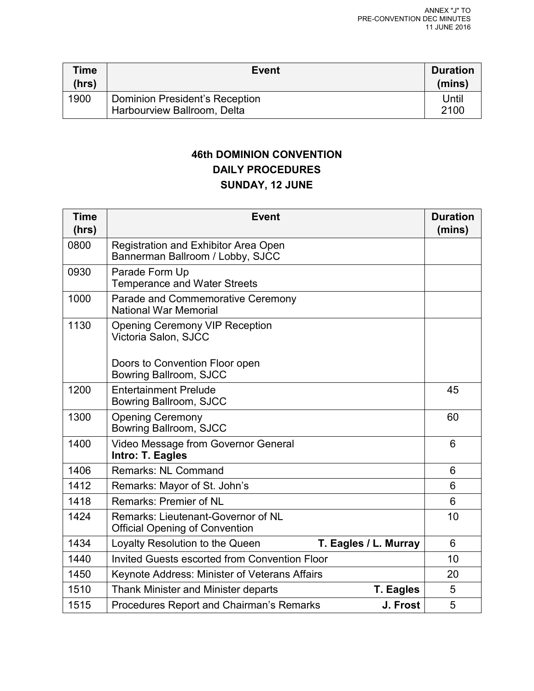| Time<br>(hrs) | <b>Event</b>                                                  | <b>Duration</b><br>(mins) |
|---------------|---------------------------------------------------------------|---------------------------|
| 1900          | Dominion President's Reception<br>Harbourview Ballroom, Delta | Until<br>2100             |

# **46th DOMINION CONVENTION DAILY PROCEDURES SUNDAY, 12 JUNE**

| <b>Time</b><br>(hrs) | <b>Event</b>                                                                | <b>Duration</b><br>(mins) |
|----------------------|-----------------------------------------------------------------------------|---------------------------|
| 0800                 | Registration and Exhibitor Area Open<br>Bannerman Ballroom / Lobby, SJCC    |                           |
| 0930                 | Parade Form Up<br><b>Temperance and Water Streets</b>                       |                           |
| 1000                 | Parade and Commemorative Ceremony<br><b>National War Memorial</b>           |                           |
| 1130                 | <b>Opening Ceremony VIP Reception</b><br>Victoria Salon, SJCC               |                           |
|                      | Doors to Convention Floor open<br>Bowring Ballroom, SJCC                    |                           |
| 1200                 | <b>Entertainment Prelude</b><br>Bowring Ballroom, SJCC                      | 45                        |
| 1300                 | <b>Opening Ceremony</b><br>Bowring Ballroom, SJCC                           | 60                        |
| 1400                 | Video Message from Governor General<br>Intro: T. Eagles                     | 6                         |
| 1406                 | <b>Remarks: NL Command</b>                                                  | 6                         |
| 1412                 | Remarks: Mayor of St. John's                                                | 6                         |
| 1418                 | <b>Remarks: Premier of NL</b>                                               | 6                         |
| 1424                 | Remarks: Lieutenant-Governor of NL<br><b>Official Opening of Convention</b> | 10                        |
| 1434                 | T. Eagles / L. Murray<br>Loyalty Resolution to the Queen                    | 6                         |
| 1440                 | <b>Invited Guests escorted from Convention Floor</b>                        | 10                        |
| 1450                 | Keynote Address: Minister of Veterans Affairs                               | 20                        |
| 1510                 | <b>Thank Minister and Minister departs</b><br><b>T. Eagles</b>              | 5                         |
| 1515                 | Procedures Report and Chairman's Remarks<br>J. Frost                        | 5                         |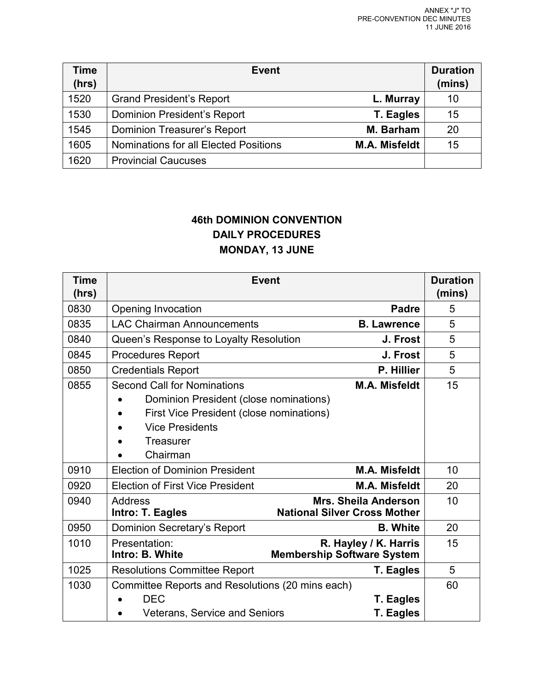| <b>Time</b><br>(hrs) | Event                                 |                      | <b>Duration</b><br>(mins) |
|----------------------|---------------------------------------|----------------------|---------------------------|
| 1520                 | <b>Grand President's Report</b>       | L. Murray            | 10                        |
| 1530                 | Dominion President's Report           | T. Eagles            | 15                        |
| 1545                 | <b>Dominion Treasurer's Report</b>    | M. Barham            | 20                        |
| 1605                 | Nominations for all Elected Positions | <b>M.A. Misfeldt</b> | 15                        |
| 1620                 | <b>Provincial Caucuses</b>            |                      |                           |

# **46th DOMINION CONVENTION DAILY PROCEDURES MONDAY, 13 JUNE**

| <b>Time</b><br>(hrs) | <b>Event</b>                                     |                                                                    | <b>Duration</b><br>(mins) |
|----------------------|--------------------------------------------------|--------------------------------------------------------------------|---------------------------|
| 0830                 | Opening Invocation                               | Padre                                                              | 5                         |
| 0835                 | <b>LAC Chairman Announcements</b>                | <b>B.</b> Lawrence                                                 | 5                         |
| 0840                 | Queen's Response to Loyalty Resolution           | J. Frost                                                           | 5                         |
| 0845                 | <b>Procedures Report</b>                         | J. Frost                                                           | 5                         |
| 0850                 | <b>Credentials Report</b>                        | P. Hillier                                                         | 5                         |
| 0855                 | <b>Second Call for Nominations</b>               | <b>M.A. Misfeldt</b>                                               | 15                        |
|                      | Dominion President (close nominations)           |                                                                    |                           |
|                      | First Vice President (close nominations)         |                                                                    |                           |
|                      | <b>Vice Presidents</b>                           |                                                                    |                           |
|                      | Treasurer                                        |                                                                    |                           |
|                      | Chairman                                         |                                                                    |                           |
| 0910                 | <b>Election of Dominion President</b>            | <b>M.A. Misfeldt</b>                                               | 10                        |
| 0920                 | <b>Election of First Vice President</b>          | <b>M.A. Misfeldt</b>                                               | 20                        |
| 0940                 | Address<br>Intro: T. Eagles                      | <b>Mrs. Sheila Anderson</b><br><b>National Silver Cross Mother</b> | 10                        |
| 0950                 | Dominion Secretary's Report                      | <b>B.</b> White                                                    | 20                        |
| 1010                 | Presentation:<br>Intro: B. White                 | R. Hayley / K. Harris<br><b>Membership Software System</b>         | 15                        |
| 1025                 | <b>Resolutions Committee Report</b>              | <b>T. Eagles</b>                                                   | 5                         |
| 1030                 | Committee Reports and Resolutions (20 mins each) |                                                                    | 60                        |
|                      | <b>DEC</b>                                       | T. Eagles                                                          |                           |
|                      | <b>Veterans, Service and Seniors</b>             | <b>T. Eagles</b>                                                   |                           |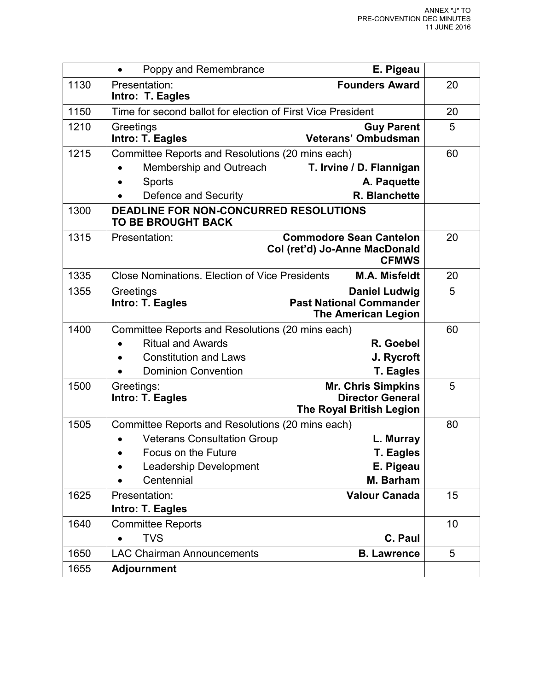|      | Poppy and Remembrance<br>$\bullet$                                  | E. Pigeau                                                                            |    |
|------|---------------------------------------------------------------------|--------------------------------------------------------------------------------------|----|
| 1130 | Presentation:<br>Intro: T. Eagles                                   | <b>Founders Award</b>                                                                | 20 |
| 1150 | Time for second ballot for election of First Vice President         |                                                                                      | 20 |
| 1210 | Greetings<br>Intro: T. Eagles                                       | <b>Guy Parent</b><br>Veterans' Ombudsman                                             | 5  |
| 1215 | Committee Reports and Resolutions (20 mins each)                    |                                                                                      | 60 |
|      | Membership and Outreach                                             | T. Irvine / D. Flannigan                                                             |    |
|      | Sports                                                              | A. Paquette                                                                          |    |
|      | Defence and Security                                                | R. Blanchette                                                                        |    |
| 1300 | DEADLINE FOR NON-CONCURRED RESOLUTIONS<br><b>TO BE BROUGHT BACK</b> |                                                                                      |    |
| 1315 | Presentation:                                                       | <b>Commodore Sean Cantelon</b><br>Col (ret'd) Jo-Anne MacDonald<br><b>CFMWS</b>      | 20 |
| 1335 | <b>Close Nominations. Election of Vice Presidents</b>               | <b>M.A. Misfeldt</b>                                                                 | 20 |
| 1355 | Greetings<br>Intro: T. Eagles                                       | <b>Daniel Ludwig</b><br><b>Past National Commander</b><br><b>The American Legion</b> | 5  |
| 1400 | Committee Reports and Resolutions (20 mins each)                    |                                                                                      | 60 |
|      | <b>Ritual and Awards</b>                                            | R. Goebel                                                                            |    |
|      | <b>Constitution and Laws</b>                                        | J. Rycroft                                                                           |    |
|      | <b>Dominion Convention</b>                                          | <b>T. Eagles</b>                                                                     |    |
| 1500 | Greetings:                                                          | <b>Mr. Chris Simpkins</b>                                                            | 5  |
|      | Intro: T. Eagles                                                    | <b>Director General</b><br><b>The Royal British Legion</b>                           |    |
| 1505 | Committee Reports and Resolutions (20 mins each)                    |                                                                                      | 80 |
|      | <b>Veterans Consultation Group</b>                                  | L. Murray                                                                            |    |
|      | Focus on the Future                                                 | <b>T. Eagles</b>                                                                     |    |
|      | Leadership Development                                              | E. Pigeau                                                                            |    |
|      | Centennial                                                          | M. Barham                                                                            |    |
| 1625 | Presentation:                                                       | <b>Valour Canada</b>                                                                 | 15 |
|      | Intro: T. Eagles                                                    |                                                                                      |    |
| 1640 | <b>Committee Reports</b>                                            |                                                                                      | 10 |
|      | <b>TVS</b>                                                          | C. Paul                                                                              |    |
| 1650 | <b>LAC Chairman Announcements</b>                                   | <b>B. Lawrence</b>                                                                   | 5  |
| 1655 | <b>Adjournment</b>                                                  |                                                                                      |    |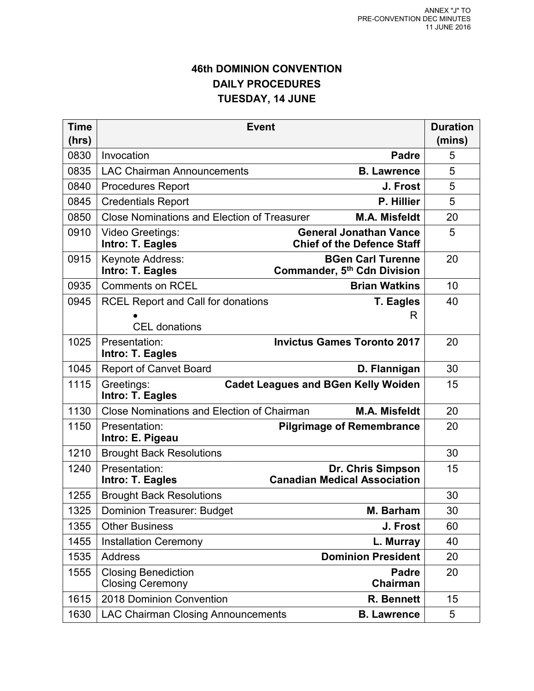# **46th DOMINION CONVENTION DAILY PROCEDURES TUESDAY, 14 JUNE**

| <b>Time</b>   | <b>Event</b>                                          |                                                                     | <b>Duration</b> |
|---------------|-------------------------------------------------------|---------------------------------------------------------------------|-----------------|
| (hrs)<br>0830 | Invocation                                            | <b>Padre</b>                                                        | (mins)<br>5     |
| 0835          | <b>LAC Chairman Announcements</b>                     | <b>B. Lawrence</b>                                                  | 5               |
| 0840          | <b>Procedures Report</b>                              | J. Frost                                                            | 5               |
| 0845          | <b>Credentials Report</b>                             | P. Hillier                                                          | 5               |
| 0850          | <b>Close Nominations and Election of Treasurer</b>    | <b>M.A. Misfeldt</b>                                                | 20              |
| 0910          | <b>Video Greetings:</b><br>Intro: T. Eagles           | <b>General Jonathan Vance</b><br><b>Chief of the Defence Staff</b>  | 5               |
| 0915          | Keynote Address:<br>Intro: T. Eagles                  | <b>BGen Carl Turenne</b><br>Commander, 5 <sup>th</sup> Cdn Division | 20              |
| 0935          | <b>Comments on RCEL</b>                               | <b>Brian Watkins</b>                                                | 10              |
| 0945          | <b>RCEL Report and Call for donations</b>             | <b>T. Eagles</b>                                                    | 40              |
|               | <b>CEL</b> donations                                  | R                                                                   |                 |
| 1025          | Presentation:<br>Intro: T. Eagles                     | <b>Invictus Games Toronto 2017</b>                                  | 20              |
| 1045          | <b>Report of Canvet Board</b>                         | D. Flannigan                                                        | 30              |
| 1115          | Greetings:<br>Intro: T. Eagles                        | <b>Cadet Leagues and BGen Kelly Wolden</b>                          | 15              |
| 1130          | <b>Close Nominations and Election of Chairman</b>     | <b>M.A. Misfeldt</b>                                                | 20              |
| 1150          | Presentation:<br>Intro: E. Pigeau                     | <b>Pilgrimage of Remembrance</b>                                    | 20              |
| 1210          | <b>Brought Back Resolutions</b>                       |                                                                     | 30              |
| 1240          | Presentation:<br>Intro: T. Eagles                     | Dr. Chris Simpson<br><b>Canadian Medical Association</b>            | 15              |
| 1255          | <b>Brought Back Resolutions</b>                       |                                                                     | 30              |
| 1325          | <b>Dominion Treasurer: Budget</b>                     | M. Barham                                                           | 30              |
| 1355          | <b>Other Business</b>                                 | J. Frost                                                            | 60              |
| 1455          | <b>Installation Ceremony</b>                          | L. Murray                                                           | 40              |
| 1535          | <b>Address</b>                                        | <b>Dominion President</b>                                           | 20              |
| 1555          | <b>Closing Benediction</b><br><b>Closing Ceremony</b> | <b>Padre</b><br>Chairman                                            | 20              |
| 1615          | 2018 Dominion Convention                              | R. Bennett                                                          | 15              |
| 1630          | <b>LAC Chairman Closing Announcements</b>             | <b>B. Lawrence</b>                                                  | 5               |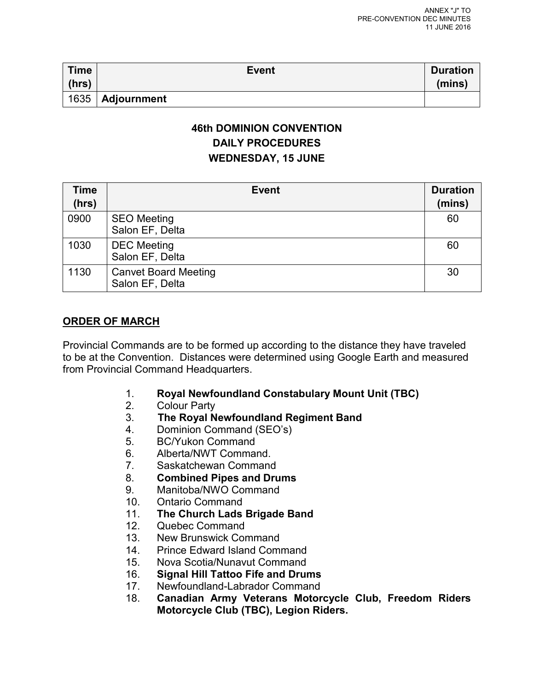| <b>Time</b><br>(hrs) | <b>Event</b>       | <b>Duration</b><br>(mins) |
|----------------------|--------------------|---------------------------|
|                      | 1635   Adjournment |                           |

# **46th DOMINION CONVENTION DAILY PROCEDURES WEDNESDAY, 15 JUNE**

| Time<br>(hrs) | <b>Event</b>                                   | <b>Duration</b><br>(mins) |
|---------------|------------------------------------------------|---------------------------|
| 0900          | <b>SEO Meeting</b><br>Salon EF, Delta          | 60                        |
| 1030          | <b>DEC</b> Meeting<br>Salon EF, Delta          | 60                        |
| 1130          | <b>Canvet Board Meeting</b><br>Salon EF, Delta | 30                        |

# **ORDER OF MARCH**

Provincial Commands are to be formed up according to the distance they have traveled to be at the Convention. Distances were determined using Google Earth and measured from Provincial Command Headquarters.

- 1. **Royal Newfoundland Constabulary Mount Unit (TBC)**
- **Colour Party**
- 3. **The Royal Newfoundland Regiment Band**
- 4. Dominion Command (SEO's)
- 5. BC/Yukon Command
- 6. Alberta/NWT Command.
- 7. Saskatchewan Command
- 8. **Combined Pipes and Drums**
- Manitoba/NWO Command
- 10. Ontario Command
- 11. **The Church Lads Brigade Band**
- 12. Quebec Command
- 13. New Brunswick Command
- 14. Prince Edward Island Command
- 15. Nova Scotia/Nunavut Command
- 16. **Signal Hill Tattoo Fife and Drums**
- Newfoundland-Labrador Command
- 18. **Canadian Army Veterans Motorcycle Club, Freedom Riders Motorcycle Club (TBC), Legion Riders.**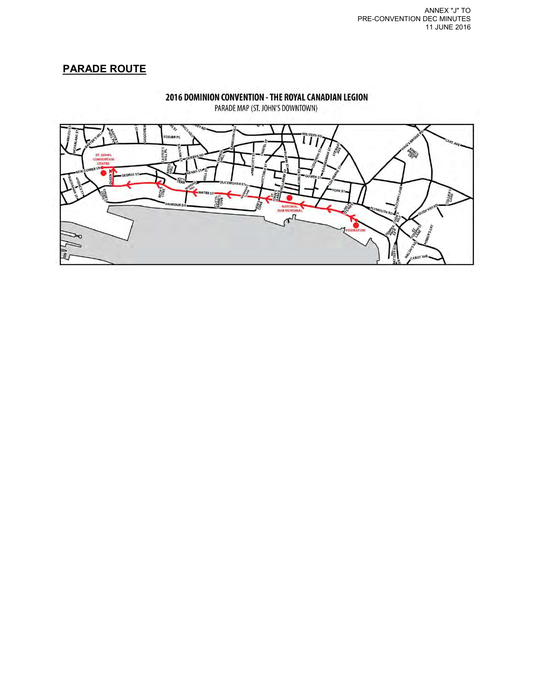# **PARADE ROUTE**



2016 DOMINION CONVENTION - THE ROYAL CANADIAN LEGION

PARADE MAP (ST. JOHN'S DOWNTOWN)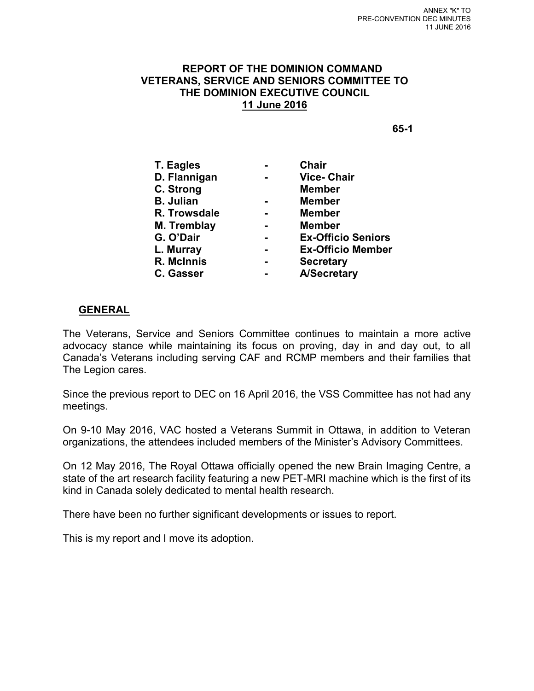#### **REPORT OF THE DOMINION COMMAND VETERANS, SERVICE AND SENIORS COMMITTEE TO THE DOMINION EXECUTIVE COUNCIL 11 June 2016**

**65-1** 

| T. Eagles        | Chair                     |
|------------------|---------------------------|
| D. Flannigan     | <b>Vice-Chair</b>         |
| C. Strong        | <b>Member</b>             |
| <b>B. Julian</b> | <b>Member</b>             |
| R. Trowsdale     | <b>Member</b>             |
| M. Tremblay      | <b>Member</b>             |
| G. O'Dair        | <b>Ex-Officio Seniors</b> |
| L. Murray        | <b>Ex-Officio Member</b>  |
| R. McInnis       | <b>Secretary</b>          |
| <b>C. Gasser</b> | <b>A/Secretary</b>        |
|                  |                           |

#### **GENERAL**

The Veterans, Service and Seniors Committee continues to maintain a more active advocacy stance while maintaining its focus on proving, day in and day out, to all Canada's Veterans including serving CAF and RCMP members and their families that The Legion cares.

Since the previous report to DEC on 16 April 2016, the VSS Committee has not had any meetings.

On 9-10 May 2016, VAC hosted a Veterans Summit in Ottawa, in addition to Veteran organizations, the attendees included members of the Minister's Advisory Committees.

On 12 May 2016, The Royal Ottawa officially opened the new Brain Imaging Centre, a state of the art research facility featuring a new PET-MRI machine which is the first of its kind in Canada solely dedicated to mental health research.

There have been no further significant developments or issues to report.

This is my report and I move its adoption.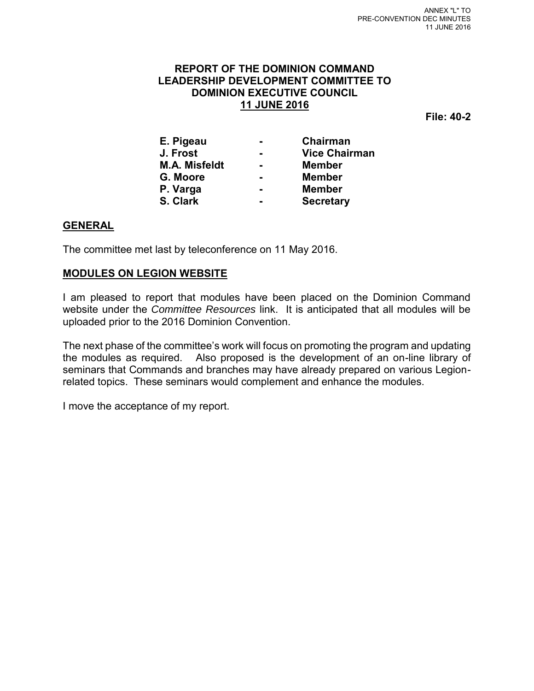# **REPORT OF THE DOMINION COMMAND LEADERSHIP DEVELOPMENT COMMITTEE TO DOMINION EXECUTIVE COUNCIL 11 JUNE 2016**

**File: 40-2** 

| E. Pigeau            |                | Chairman             |
|----------------------|----------------|----------------------|
| J. Frost             |                | <b>Vice Chairman</b> |
| <b>M.A. Misfeldt</b> | $\blacksquare$ | <b>Member</b>        |
| G. Moore             |                | <b>Member</b>        |
| P. Varga             |                | <b>Member</b>        |
| S. Clark             |                | <b>Secretary</b>     |

# **GENERAL**

The committee met last by teleconference on 11 May 2016.

#### **MODULES ON LEGION WEBSITE**

I am pleased to report that modules have been placed on the Dominion Command website under the *Committee Resources* link. It is anticipated that all modules will be uploaded prior to the 2016 Dominion Convention.

The next phase of the committee's work will focus on promoting the program and updating the modules as required. Also proposed is the development of an on-line library of seminars that Commands and branches may have already prepared on various Legionrelated topics. These seminars would complement and enhance the modules.

I move the acceptance of my report.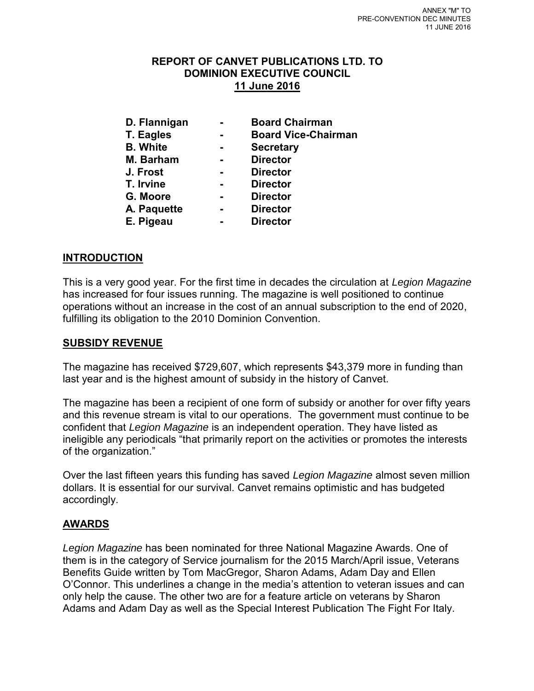# **REPORT OF CANVET PUBLICATIONS LTD. TO DOMINION EXECUTIVE COUNCIL 11 June 2016**

- 
- **D. Flannigan Board Chairman**
- **T. Eagles Board Vice-Chairman** 
	-
- **Secretary**
- **M. Barham Director**
- **J. Frost Director**
- **T. Irvine Director** 
	-
- 
- **G. Moore Director**
- 
- **A. Paquette Director**
- **E. Pigeau Director**

# **INTRODUCTION**

This is a very good year. For the first time in decades the circulation at *Legion Magazine* has increased for four issues running. The magazine is well positioned to continue operations without an increase in the cost of an annual subscription to the end of 2020, fulfilling its obligation to the 2010 Dominion Convention.

# **SUBSIDY REVENUE**

The magazine has received \$729,607, which represents \$43,379 more in funding than last year and is the highest amount of subsidy in the history of Canvet.

The magazine has been a recipient of one form of subsidy or another for over fifty years and this revenue stream is vital to our operations. The government must continue to be confident that *Legion Magazine* is an independent operation. They have listed as ineligible any periodicals "that primarily report on the activities or promotes the interests of the organization."

Over the last fifteen years this funding has saved *Legion Magazine* almost seven million dollars. It is essential for our survival. Canvet remains optimistic and has budgeted accordingly.

# **AWARDS**

*Legion Magazine* has been nominated for three National Magazine Awards. One of them is in the category of Service journalism for the 2015 March/April issue, Veterans Benefits Guide written by Tom MacGregor, Sharon Adams, Adam Day and Ellen O'Connor. This underlines a change in the media's attention to veteran issues and can only help the cause. The other two are for a feature article on veterans by Sharon Adams and Adam Day as well as the Special Interest Publication The Fight For Italy.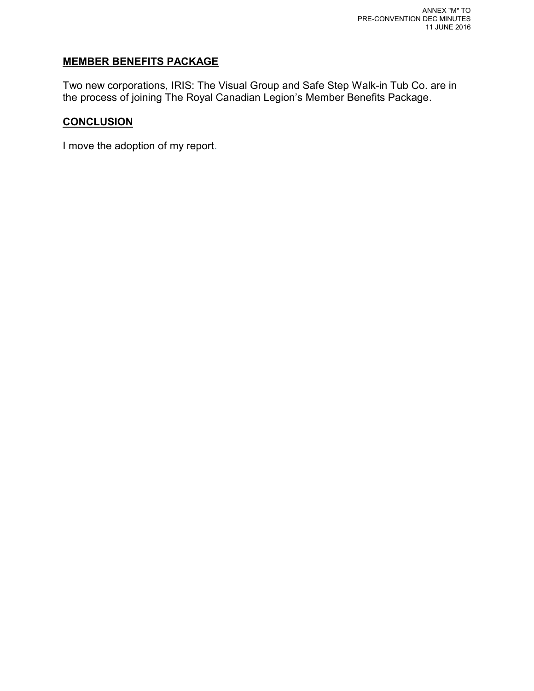# **MEMBER BENEFITS PACKAGE**

Two new corporations, IRIS: The Visual Group and Safe Step Walk-in Tub Co. are in the process of joining The Royal Canadian Legion's Member Benefits Package.

# **CONCLUSION**

I move the adoption of my report.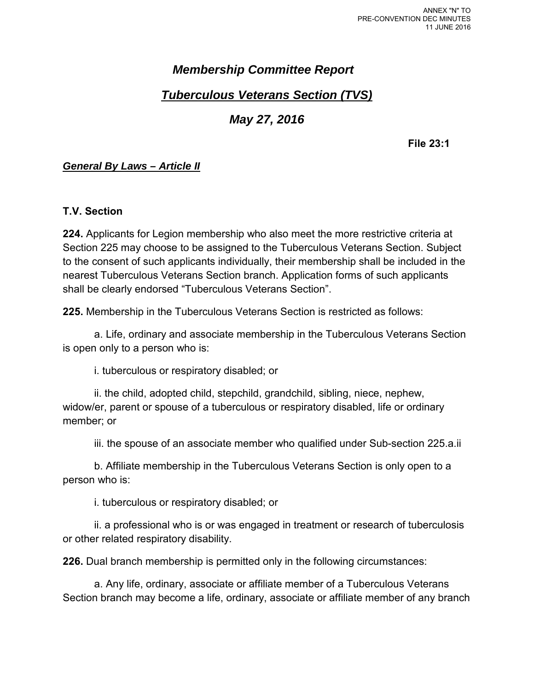# *Membership Committee Report*

# *Tuberculous Veterans Section (TVS)*

# *May 27, 2016*

**File 23:1**

# *General By Laws – Article II*

# **T.V. Section**

**224.** Applicants for Legion membership who also meet the more restrictive criteria at Section 225 may choose to be assigned to the Tuberculous Veterans Section. Subject to the consent of such applicants individually, their membership shall be included in the nearest Tuberculous Veterans Section branch. Application forms of such applicants shall be clearly endorsed "Tuberculous Veterans Section".

**225.** Membership in the Tuberculous Veterans Section is restricted as follows:

a. Life, ordinary and associate membership in the Tuberculous Veterans Section is open only to a person who is:

i. tuberculous or respiratory disabled; or

ii. the child, adopted child, stepchild, grandchild, sibling, niece, nephew, widow/er, parent or spouse of a tuberculous or respiratory disabled, life or ordinary member; or

iii. the spouse of an associate member who qualified under Sub-section 225.a.ii

b. Affiliate membership in the Tuberculous Veterans Section is only open to a person who is:

i. tuberculous or respiratory disabled; or

ii. a professional who is or was engaged in treatment or research of tuberculosis or other related respiratory disability.

**226.** Dual branch membership is permitted only in the following circumstances:

a. Any life, ordinary, associate or affiliate member of a Tuberculous Veterans Section branch may become a life, ordinary, associate or affiliate member of any branch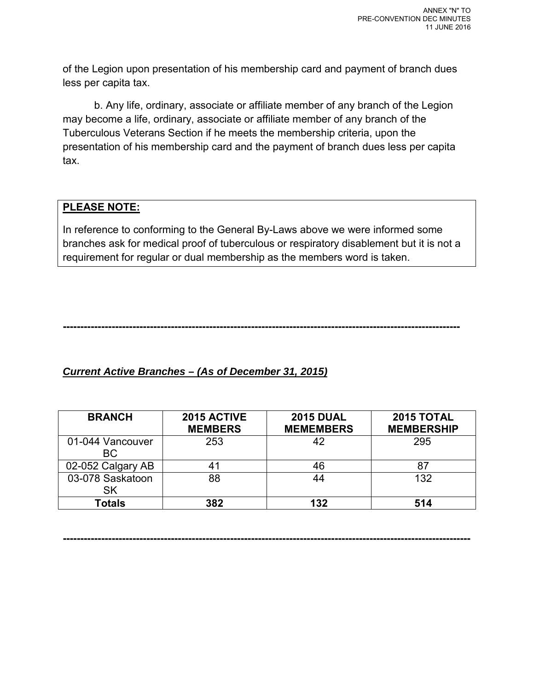of the Legion upon presentation of his membership card and payment of branch dues less per capita tax.

b. Any life, ordinary, associate or affiliate member of any branch of the Legion may become a life, ordinary, associate or affiliate member of any branch of the Tuberculous Veterans Section if he meets the membership criteria, upon the presentation of his membership card and the payment of branch dues less per capita tax.

# **PLEASE NOTE:**

In reference to conforming to the General By-Laws above we were informed some branches ask for medical proof of tuberculous or respiratory disablement but it is not a requirement for regular or dual membership as the members word is taken.

**------------------------------------------------------------------------------------------------------------------**

# *Current Active Branches – (As of December 31, 2015)*

| <b>BRANCH</b>           | 2015 ACTIVE<br><b>MEMBERS</b> | <b>2015 DUAL</b><br><b>MEMEMBERS</b> | 2015 TOTAL<br><b>MEMBERSHIP</b> |
|-------------------------|-------------------------------|--------------------------------------|---------------------------------|
| 01-044 Vancouver<br>BC. | 253                           | 42                                   | 295                             |
| 02-052 Calgary AB       | 41                            | 46                                   | 87                              |
| 03-078 Saskatoon<br>SK  | 88                            | 44                                   | 132                             |
| Totals                  | 382                           | 132                                  | 514                             |

**---------------------------------------------------------------------------------------------------------------------**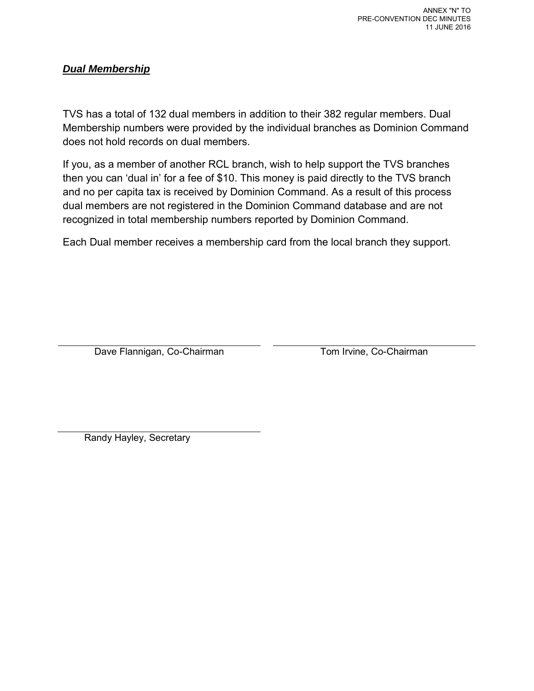# *Dual Membership*

TVS has a total of 132 dual members in addition to their 382 regular members. Dual Membership numbers were provided by the individual branches as Dominion Command does not hold records on dual members.

If you, as a member of another RCL branch, wish to help support the TVS branches then you can 'dual in' for a fee of \$10. This money is paid directly to the TVS branch and no per capita tax is received by Dominion Command. As a result of this process dual members are not registered in the Dominion Command database and are not recognized in total membership numbers reported by Dominion Command.

Each Dual member receives a membership card from the local branch they support.

Dave Flannigan, Co-Chairman Tom Irvine, Co-Chairman

Randy Hayley, Secretary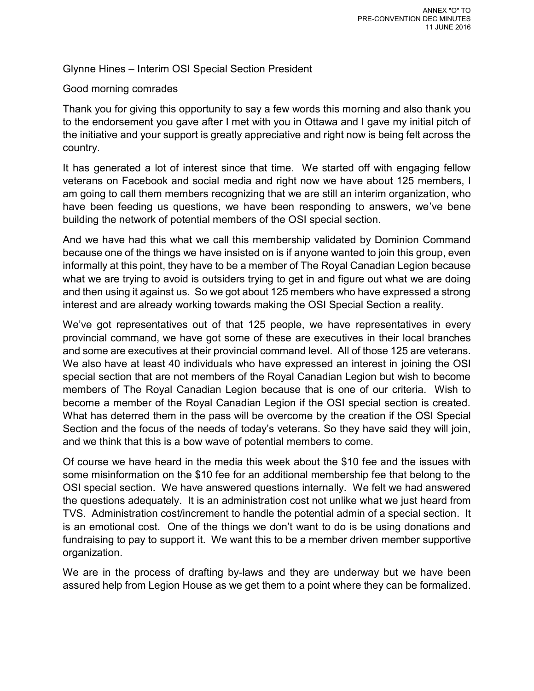Glynne Hines – Interim OSI Special Section President

# Good morning comrades

Thank you for giving this opportunity to say a few words this morning and also thank you to the endorsement you gave after I met with you in Ottawa and I gave my initial pitch of the initiative and your support is greatly appreciative and right now is being felt across the country.

It has generated a lot of interest since that time. We started off with engaging fellow veterans on Facebook and social media and right now we have about 125 members, I am going to call them members recognizing that we are still an interim organization, who have been feeding us questions, we have been responding to answers, we've bene building the network of potential members of the OSI special section.

And we have had this what we call this membership validated by Dominion Command because one of the things we have insisted on is if anyone wanted to join this group, even informally at this point, they have to be a member of The Royal Canadian Legion because what we are trying to avoid is outsiders trying to get in and figure out what we are doing and then using it against us. So we got about 125 members who have expressed a strong interest and are already working towards making the OSI Special Section a reality.

We've got representatives out of that 125 people, we have representatives in every provincial command, we have got some of these are executives in their local branches and some are executives at their provincial command level. All of those 125 are veterans. We also have at least 40 individuals who have expressed an interest in joining the OSI special section that are not members of the Royal Canadian Legion but wish to become members of The Royal Canadian Legion because that is one of our criteria. Wish to become a member of the Royal Canadian Legion if the OSI special section is created. What has deterred them in the pass will be overcome by the creation if the OSI Special Section and the focus of the needs of today's veterans. So they have said they will join, and we think that this is a bow wave of potential members to come.

Of course we have heard in the media this week about the \$10 fee and the issues with some misinformation on the \$10 fee for an additional membership fee that belong to the OSI special section. We have answered questions internally. We felt we had answered the questions adequately. It is an administration cost not unlike what we just heard from TVS. Administration cost/increment to handle the potential admin of a special section. It is an emotional cost. One of the things we don't want to do is be using donations and fundraising to pay to support it. We want this to be a member driven member supportive organization.

We are in the process of drafting by-laws and they are underway but we have been assured help from Legion House as we get them to a point where they can be formalized.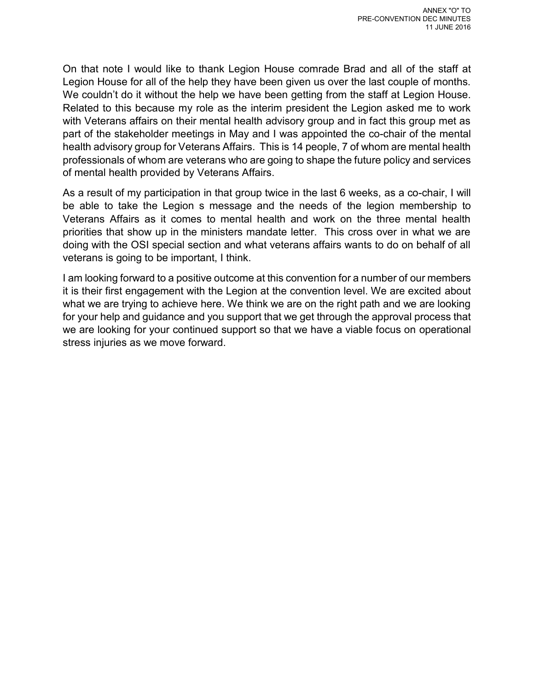On that note I would like to thank Legion House comrade Brad and all of the staff at Legion House for all of the help they have been given us over the last couple of months. We couldn't do it without the help we have been getting from the staff at Legion House. Related to this because my role as the interim president the Legion asked me to work with Veterans affairs on their mental health advisory group and in fact this group met as part of the stakeholder meetings in May and I was appointed the co-chair of the mental health advisory group for Veterans Affairs. This is 14 people, 7 of whom are mental health professionals of whom are veterans who are going to shape the future policy and services of mental health provided by Veterans Affairs.

As a result of my participation in that group twice in the last 6 weeks, as a co-chair, I will be able to take the Legion s message and the needs of the legion membership to Veterans Affairs as it comes to mental health and work on the three mental health priorities that show up in the ministers mandate letter. This cross over in what we are doing with the OSI special section and what veterans affairs wants to do on behalf of all veterans is going to be important, I think.

I am looking forward to a positive outcome at this convention for a number of our members it is their first engagement with the Legion at the convention level. We are excited about what we are trying to achieve here. We think we are on the right path and we are looking for your help and guidance and you support that we get through the approval process that we are looking for your continued support so that we have a viable focus on operational stress injuries as we move forward.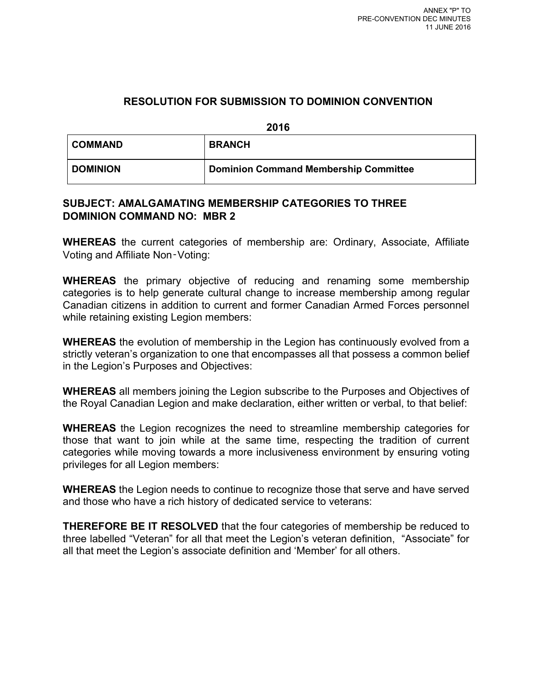# **RESOLUTION FOR SUBMISSION TO DOMINION CONVENTION**

**2016**

| ∣ COMMAND       | <b>BRANCH</b>                                |
|-----------------|----------------------------------------------|
| <b>DOMINION</b> | <b>Dominion Command Membership Committee</b> |

# **SUBJECT: AMALGAMATING MEMBERSHIP CATEGORIES TO THREE DOMINION COMMAND NO: MBR 2**

**WHEREAS** the current categories of membership are: Ordinary, Associate, Affiliate Voting and Affiliate Non‑Voting:

**WHEREAS** the primary objective of reducing and renaming some membership categories is to help generate cultural change to increase membership among regular Canadian citizens in addition to current and former Canadian Armed Forces personnel while retaining existing Legion members:

**WHEREAS** the evolution of membership in the Legion has continuously evolved from a strictly veteran's organization to one that encompasses all that possess a common belief in the Legion's Purposes and Objectives:

**WHEREAS** all members joining the Legion subscribe to the Purposes and Objectives of the Royal Canadian Legion and make declaration, either written or verbal, to that belief:

**WHEREAS** the Legion recognizes the need to streamline membership categories for those that want to join while at the same time, respecting the tradition of current categories while moving towards a more inclusiveness environment by ensuring voting privileges for all Legion members:

**WHEREAS** the Legion needs to continue to recognize those that serve and have served and those who have a rich history of dedicated service to veterans:

**THEREFORE BE IT RESOLVED** that the four categories of membership be reduced to three labelled "Veteran" for all that meet the Legion's veteran definition, "Associate" for all that meet the Legion's associate definition and 'Member' for all others.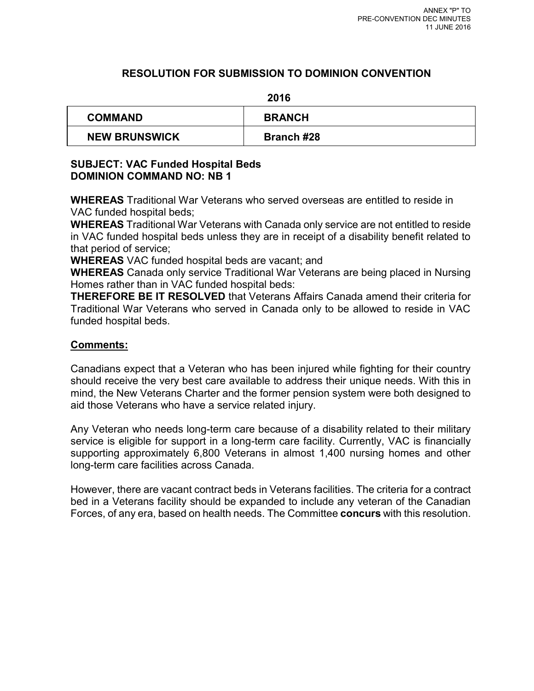# **RESOLUTION FOR SUBMISSION TO DOMINION CONVENTION**

#### **2016**

| <b>COMMAND</b>       | <b>BRANCH</b>     |
|----------------------|-------------------|
| <b>NEW BRUNSWICK</b> | <b>Branch #28</b> |

# **SUBJECT: VAC Funded Hospital Beds DOMINION COMMAND NO: NB 1**

**WHEREAS** Traditional War Veterans who served overseas are entitled to reside in VAC funded hospital beds;

**WHEREAS** Traditional War Veterans with Canada only service are not entitled to reside in VAC funded hospital beds unless they are in receipt of a disability benefit related to that period of service;

**WHEREAS** VAC funded hospital beds are vacant; and

**WHEREAS** Canada only service Traditional War Veterans are being placed in Nursing Homes rather than in VAC funded hospital beds:

**THEREFORE BE IT RESOLVED** that Veterans Affairs Canada amend their criteria for Traditional War Veterans who served in Canada only to be allowed to reside in VAC funded hospital beds.

# **Comments:**

Canadians expect that a Veteran who has been injured while fighting for their country should receive the very best care available to address their unique needs. With this in mind, the New Veterans Charter and the former pension system were both designed to aid those Veterans who have a service related injury.

Any Veteran who needs long-term care because of a disability related to their military service is eligible for support in a long-term care facility. Currently, VAC is financially supporting approximately 6,800 Veterans in almost 1,400 nursing homes and other long-term care facilities across Canada.

However, there are vacant contract beds in Veterans facilities. The criteria for a contract bed in a Veterans facility should be expanded to include any veteran of the Canadian Forces, of any era, based on health needs. The Committee **concurs** with this resolution.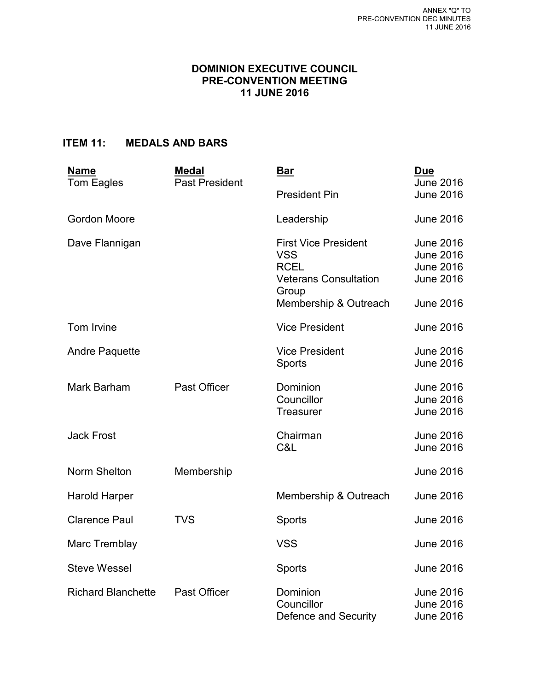# **DOMINION EXECUTIVE COUNCIL PRE-CONVENTION MEETING 11 JUNE 2016**

# **ITEM 11: MEDALS AND BARS**

| <b>Name</b>               | <b>Medal</b><br><b>Past President</b> | <u>Bar</u>                                                                                                                 | <b>Due</b><br><b>June 2016</b>                                                                   |
|---------------------------|---------------------------------------|----------------------------------------------------------------------------------------------------------------------------|--------------------------------------------------------------------------------------------------|
| Tom Eagles                |                                       | <b>President Pin</b>                                                                                                       | <b>June 2016</b>                                                                                 |
| <b>Gordon Moore</b>       |                                       | Leadership                                                                                                                 | <b>June 2016</b>                                                                                 |
| Dave Flannigan            |                                       | <b>First Vice President</b><br><b>VSS</b><br><b>RCEL</b><br><b>Veterans Consultation</b><br>Group<br>Membership & Outreach | <b>June 2016</b><br><b>June 2016</b><br><b>June 2016</b><br><b>June 2016</b><br><b>June 2016</b> |
| Tom Irvine                |                                       | <b>Vice President</b>                                                                                                      | <b>June 2016</b>                                                                                 |
| <b>Andre Paquette</b>     |                                       | <b>Vice President</b><br>Sports                                                                                            | <b>June 2016</b><br><b>June 2016</b>                                                             |
| Mark Barham               | Past Officer                          | Dominion<br>Councillor<br><b>Treasurer</b>                                                                                 | <b>June 2016</b><br><b>June 2016</b><br><b>June 2016</b>                                         |
| <b>Jack Frost</b>         |                                       | Chairman<br>C&L                                                                                                            | <b>June 2016</b><br><b>June 2016</b>                                                             |
| Norm Shelton              | Membership                            |                                                                                                                            | <b>June 2016</b>                                                                                 |
| Harold Harper             |                                       | Membership & Outreach                                                                                                      | <b>June 2016</b>                                                                                 |
| <b>Clarence Paul</b>      | <b>TVS</b>                            | Sports                                                                                                                     | <b>June 2016</b>                                                                                 |
| Marc Tremblay             |                                       | <b>VSS</b>                                                                                                                 | <b>June 2016</b>                                                                                 |
| <b>Steve Wessel</b>       |                                       | Sports                                                                                                                     | <b>June 2016</b>                                                                                 |
| <b>Richard Blanchette</b> | <b>Past Officer</b>                   | Dominion<br>Councillor<br>Defence and Security                                                                             | <b>June 2016</b><br><b>June 2016</b><br>June 2016                                                |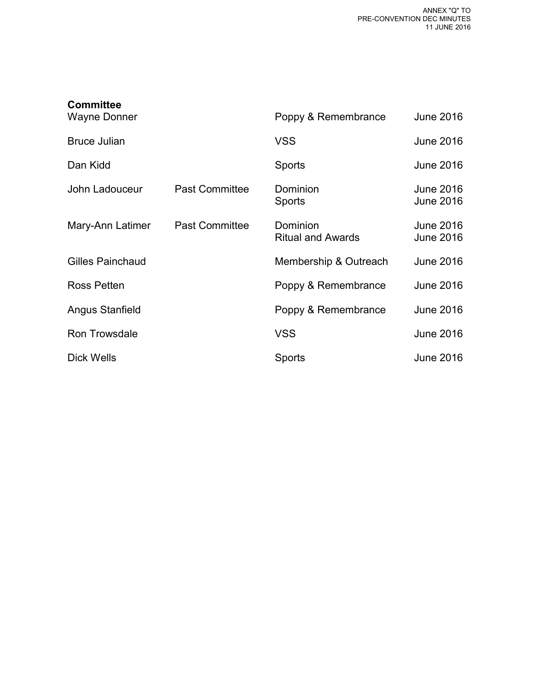| <b>Committee</b>        |                       |                                      |                                      |
|-------------------------|-----------------------|--------------------------------------|--------------------------------------|
| Wayne Donner            |                       | Poppy & Remembrance                  | June 2016                            |
| <b>Bruce Julian</b>     |                       | <b>VSS</b>                           | <b>June 2016</b>                     |
| Dan Kidd                |                       | <b>Sports</b>                        | <b>June 2016</b>                     |
| John Ladouceur          | <b>Past Committee</b> | Dominion<br><b>Sports</b>            | June 2016<br><b>June 2016</b>        |
| Mary-Ann Latimer        | <b>Past Committee</b> | Dominion<br><b>Ritual and Awards</b> | <b>June 2016</b><br><b>June 2016</b> |
| <b>Gilles Painchaud</b> |                       | Membership & Outreach                | <b>June 2016</b>                     |
| Ross Petten             |                       | Poppy & Remembrance                  | <b>June 2016</b>                     |
| Angus Stanfield         |                       | Poppy & Remembrance                  | <b>June 2016</b>                     |
| Ron Trowsdale           |                       | <b>VSS</b>                           | <b>June 2016</b>                     |
| Dick Wells              |                       | Sports                               | <b>June 2016</b>                     |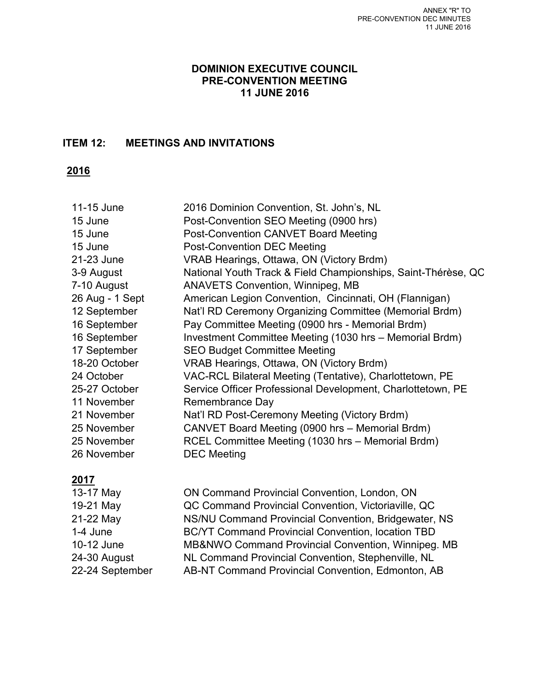# **DOMINION EXECUTIVE COUNCIL PRE-CONVENTION MEETING 11 JUNE 2016**

# **ITEM 12: MEETINGS AND INVITATIONS**

**2016** 

| 11-15 June      | 2016 Dominion Convention, St. John's, NL                      |
|-----------------|---------------------------------------------------------------|
| 15 June         | Post-Convention SEO Meeting (0900 hrs)                        |
| 15 June         | Post-Convention CANVET Board Meeting                          |
| 15 June         | <b>Post-Convention DEC Meeting</b>                            |
| 21-23 June      | VRAB Hearings, Ottawa, ON (Victory Brdm)                      |
| 3-9 August      | National Youth Track & Field Championships, Saint-Thérèse, QC |
| 7-10 August     | <b>ANAVETS Convention, Winnipeg, MB</b>                       |
| 26 Aug - 1 Sept | American Legion Convention, Cincinnati, OH (Flannigan)        |
| 12 September    | Nat'l RD Ceremony Organizing Committee (Memorial Brdm)        |
| 16 September    | Pay Committee Meeting (0900 hrs - Memorial Brdm)              |
| 16 September    | Investment Committee Meeting (1030 hrs - Memorial Brdm)       |
| 17 September    | <b>SEO Budget Committee Meeting</b>                           |
| 18-20 October   | VRAB Hearings, Ottawa, ON (Victory Brdm)                      |
| 24 October      | VAC-RCL Bilateral Meeting (Tentative), Charlottetown, PE      |
| 25-27 October   | Service Officer Professional Development, Charlottetown, PE   |
| 11 November     | Remembrance Day                                               |
| 21 November     | Nat'l RD Post-Ceremony Meeting (Victory Brdm)                 |
| 25 November     | CANVET Board Meeting (0900 hrs - Memorial Brdm)               |
| 25 November     | RCEL Committee Meeting (1030 hrs - Memorial Brdm)             |
| 26 November     | <b>DEC</b> Meeting                                            |
|                 |                                                               |

# **2017**

13-17 May ON Command Provincial Convention, London, ON 19-21 May QC Command Provincial Convention, Victoriaville, QC 21-22 May NS/NU Command Provincial Convention, Bridgewater, NS 1-4 June BC/YT Command Provincial Convention, location TBD 10-12 June MB&NWO Command Provincial Convention, Winnipeg. MB 24-30 August NL Command Provincial Convention, Stephenville, NL 22-24 September AB-NT Command Provincial Convention, Edmonton, AB